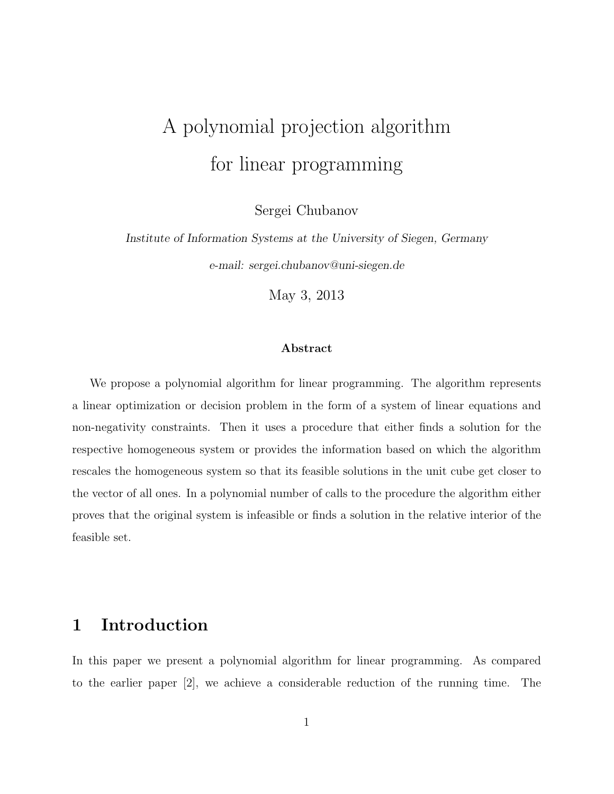# A polynomial projection algorithm for linear programming

Sergei Chubanov

Institute of Information Systems at the University of Siegen, Germany e-mail: sergei.chubanov@uni-siegen.de

May 3, 2013

## Abstract

We propose a polynomial algorithm for linear programming. The algorithm represents a linear optimization or decision problem in the form of a system of linear equations and non-negativity constraints. Then it uses a procedure that either finds a solution for the respective homogeneous system or provides the information based on which the algorithm rescales the homogeneous system so that its feasible solutions in the unit cube get closer to the vector of all ones. In a polynomial number of calls to the procedure the algorithm either proves that the original system is infeasible or finds a solution in the relative interior of the feasible set.

# 1 Introduction

In this paper we present a polynomial algorithm for linear programming. As compared to the earlier paper [2], we achieve a considerable reduction of the running time. The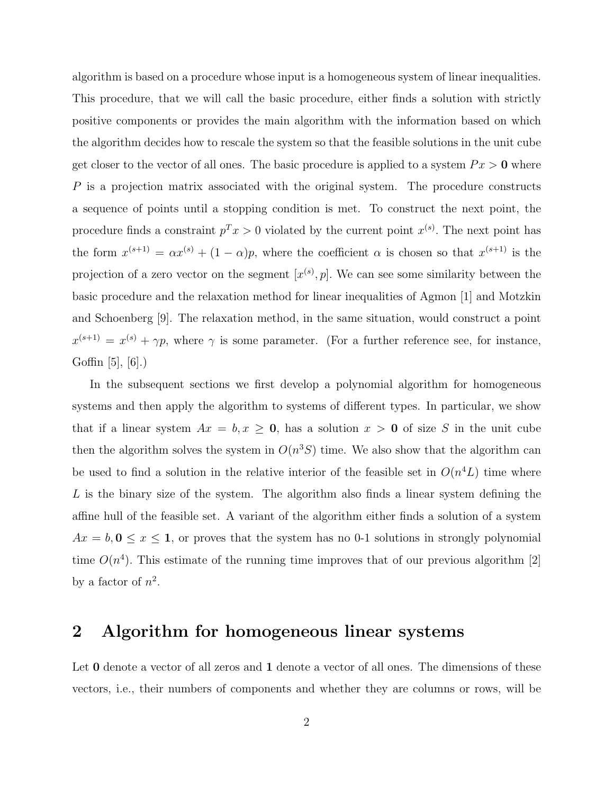algorithm is based on a procedure whose input is a homogeneous system of linear inequalities. This procedure, that we will call the basic procedure, either finds a solution with strictly positive components or provides the main algorithm with the information based on which the algorithm decides how to rescale the system so that the feasible solutions in the unit cube get closer to the vector of all ones. The basic procedure is applied to a system  $Px > 0$  where P is a projection matrix associated with the original system. The procedure constructs a sequence of points until a stopping condition is met. To construct the next point, the procedure finds a constraint  $p^T x > 0$  violated by the current point  $x^{(s)}$ . The next point has the form  $x^{(s+1)} = \alpha x^{(s)} + (1 - \alpha)p$ , where the coefficient  $\alpha$  is chosen so that  $x^{(s+1)}$  is the projection of a zero vector on the segment  $[x^{(s)}, p]$ . We can see some similarity between the basic procedure and the relaxation method for linear inequalities of Agmon [1] and Motzkin and Schoenberg [9]. The relaxation method, in the same situation, would construct a point  $x^{(s+1)} = x^{(s)} + \gamma p$ , where  $\gamma$  is some parameter. (For a further reference see, for instance, Goffin [5], [6].)

In the subsequent sections we first develop a polynomial algorithm for homogeneous systems and then apply the algorithm to systems of different types. In particular, we show that if a linear system  $Ax = b, x \ge 0$ , has a solution  $x > 0$  of size S in the unit cube then the algorithm solves the system in  $O(n^3S)$  time. We also show that the algorithm can be used to find a solution in the relative interior of the feasible set in  $O(n^4L)$  time where  $L$  is the binary size of the system. The algorithm also finds a linear system defining the affine hull of the feasible set. A variant of the algorithm either finds a solution of a system  $Ax = b, 0 \le x \le 1$ , or proves that the system has no 0-1 solutions in strongly polynomial time  $O(n^4)$ . This estimate of the running time improves that of our previous algorithm [2] by a factor of  $n^2$ .

# 2 Algorithm for homogeneous linear systems

Let **0** denote a vector of all zeros and **1** denote a vector of all ones. The dimensions of these vectors, i.e., their numbers of components and whether they are columns or rows, will be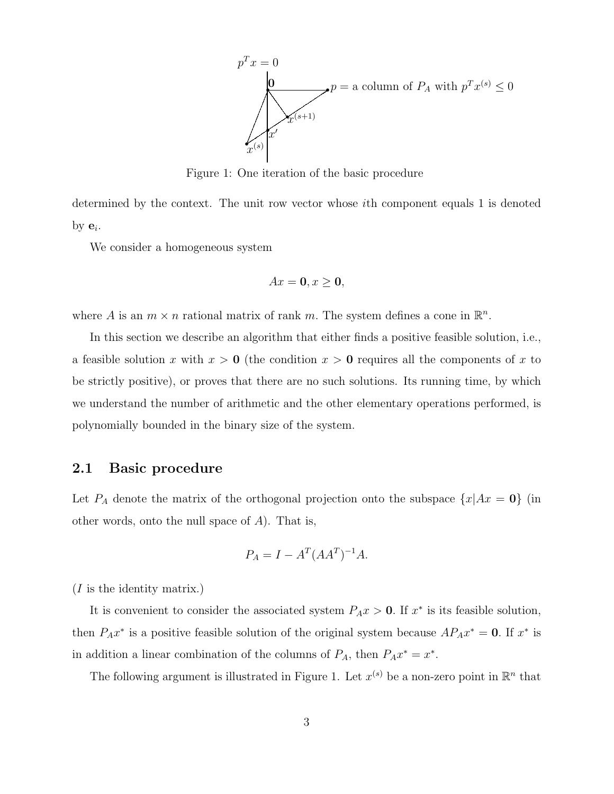

Figure 1: One iteration of the basic procedure

determined by the context. The unit row vector whose ith component equals 1 is denoted by  $\mathbf{e}_i$ .

We consider a homogeneous system

$$
Ax = 0, x \ge 0,
$$

where A is an  $m \times n$  rational matrix of rank m. The system defines a cone in  $\mathbb{R}^n$ .

In this section we describe an algorithm that either finds a positive feasible solution, i.e., a feasible solution x with  $x > 0$  (the condition  $x > 0$  requires all the components of x to be strictly positive), or proves that there are no such solutions. Its running time, by which we understand the number of arithmetic and the other elementary operations performed, is polynomially bounded in the binary size of the system.

# 2.1 Basic procedure

Let  $P_A$  denote the matrix of the orthogonal projection onto the subspace  $\{x | Ax = 0\}$  (in other words, onto the null space of  $A$ ). That is,

$$
P_A = I - A^T (AA^T)^{-1} A.
$$

(I is the identity matrix.)

It is convenient to consider the associated system  $P_A x > 0$ . If  $x^*$  is its feasible solution, then  $P_A x^*$  is a positive feasible solution of the original system because  $AP_A x^* = 0$ . If  $x^*$  is in addition a linear combination of the columns of  $P_A$ , then  $P_A x^* = x^*$ .

The following argument is illustrated in Figure 1. Let  $x^{(s)}$  be a non-zero point in  $\mathbb{R}^n$  that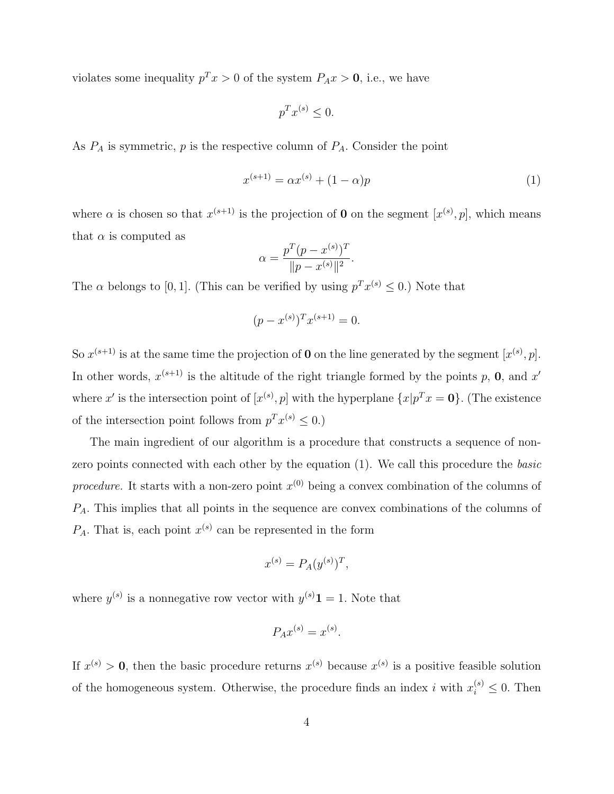violates some inequality  $p^T x > 0$  of the system  $P_A x > 0$ , i.e., we have

$$
p^T x^{(s)} \le 0.
$$

As  $P_A$  is symmetric,  $p$  is the respective column of  $P_A$ . Consider the point

$$
x^{(s+1)} = \alpha x^{(s)} + (1 - \alpha)p \tag{1}
$$

where  $\alpha$  is chosen so that  $x^{(s+1)}$  is the projection of **0** on the segment  $[x^{(s)}, p]$ , which means that  $\alpha$  is computed as

$$
\alpha = \frac{p^T (p - x^{(s)})^T}{\|p - x^{(s)}\|^2}.
$$

The  $\alpha$  belongs to [0, 1]. (This can be verified by using  $p^T x^{(s)} \leq 0$ .) Note that

$$
(p - x^{(s)})^T x^{(s+1)} = 0.
$$

So  $x^{(s+1)}$  is at the same time the projection of **0** on the line generated by the segment  $[x^{(s)}, p]$ . In other words,  $x^{(s+1)}$  is the altitude of the right triangle formed by the points p, 0, and x' where x' is the intersection point of  $[x^{(s)}, p]$  with the hyperplane  $\{x|p^T x = 0\}$ . (The existence of the intersection point follows from  $p^T x^{(s)} \leq 0$ .)

The main ingredient of our algorithm is a procedure that constructs a sequence of nonzero points connected with each other by the equation (1). We call this procedure the basic procedure. It starts with a non-zero point  $x^{(0)}$  being a convex combination of the columns of  $P_A$ . This implies that all points in the sequence are convex combinations of the columns of  $P_A$ . That is, each point  $x^{(s)}$  can be represented in the form

$$
x^{(s)} = P_A(y^{(s)})^T,
$$

where  $y^{(s)}$  is a nonnegative row vector with  $y^{(s)}\mathbf{1} = 1$ . Note that

$$
P_A x^{(s)} = x^{(s)}.
$$

If  $x^{(s)} > 0$ , then the basic procedure returns  $x^{(s)}$  because  $x^{(s)}$  is a positive feasible solution of the homogeneous system. Otherwise, the procedure finds an index i with  $x_i^{(s)} \leq 0$ . Then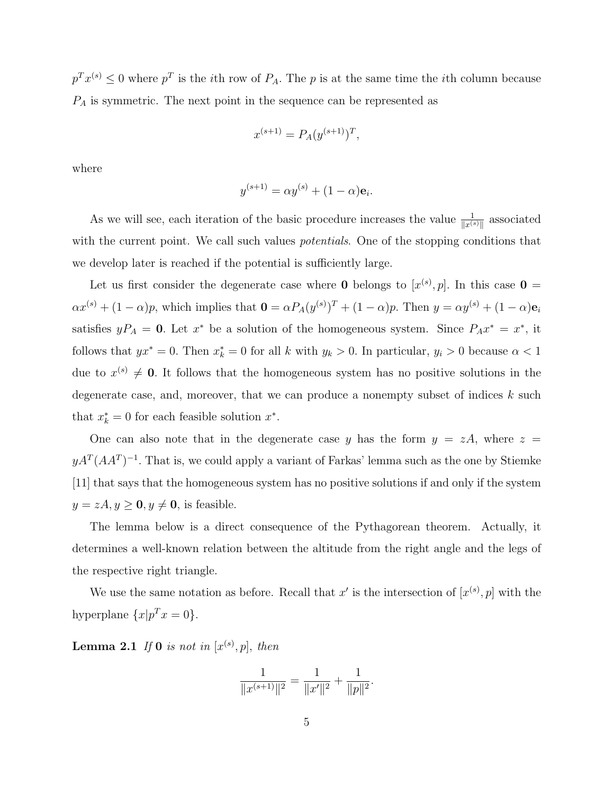$p^T x^{(s)} \leq 0$  where  $p^T$  is the *i*th row of  $P_A$ . The *p* is at the same time the *i*th column because  $P_A$  is symmetric. The next point in the sequence can be represented as

$$
x^{(s+1)} = P_A(y^{(s+1)})^T,
$$

where

$$
y^{(s+1)} = \alpha y^{(s)} + (1 - \alpha) \mathbf{e}_i.
$$

As we will see, each iteration of the basic procedure increases the value  $\frac{1}{\|x^{(s)}\|}$  associated with the current point. We call such values *potentials*. One of the stopping conditions that we develop later is reached if the potential is sufficiently large.

Let us first consider the degenerate case where **0** belongs to  $[x^{(s)}, p]$ . In this case **0** =  $\alpha x^{(s)} + (1 - \alpha)p$ , which implies that  $\mathbf{0} = \alpha P_A(y^{(s)})^T + (1 - \alpha)p$ . Then  $y = \alpha y^{(s)} + (1 - \alpha)\mathbf{e}_i$ satisfies  $yP_A = 0$ . Let  $x^*$  be a solution of the homogeneous system. Since  $P_A x^* = x^*$ , it follows that  $yx^* = 0$ . Then  $x_k^* = 0$  for all k with  $y_k > 0$ . In particular,  $y_i > 0$  because  $\alpha < 1$ due to  $x^{(s)} \neq 0$ . It follows that the homogeneous system has no positive solutions in the degenerate case, and, moreover, that we can produce a nonempty subset of indices  $k$  such that  $x_k^* = 0$  for each feasible solution  $x^*$ .

One can also note that in the degenerate case y has the form  $y = zA$ , where  $z =$  $yA^T(AA^T)^{-1}$ . That is, we could apply a variant of Farkas' lemma such as the one by Stiemke [11] that says that the homogeneous system has no positive solutions if and only if the system  $y = zA, y \ge 0, y \ne 0$ , is feasible.

The lemma below is a direct consequence of the Pythagorean theorem. Actually, it determines a well-known relation between the altitude from the right angle and the legs of the respective right triangle.

We use the same notation as before. Recall that x' is the intersection of  $[x^{(s)}, p]$  with the hyperplane  $\{x|p^T x = 0\}.$ 

**Lemma 2.1** If 0 is not in  $[x^{(s)}, p]$ , then

$$
\frac{1}{\|x^{(s+1)}\|^2} = \frac{1}{\|x'\|^2} + \frac{1}{\|p\|^2}.
$$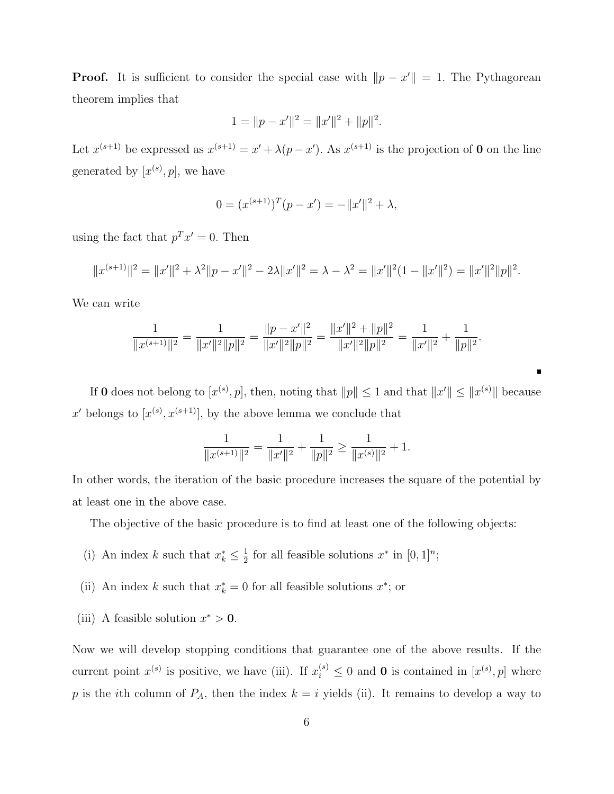**Proof.** It is sufficient to consider the special case with  $||p - x'|| = 1$ . The Pythagorean theorem implies that

$$
1 = ||p - x'||^{2} = ||x'||^{2} + ||p||^{2}.
$$

Let  $x^{(s+1)}$  be expressed as  $x^{(s+1)} = x' + \lambda (p - x')$ . As  $x^{(s+1)}$  is the projection of **0** on the line generated by  $[x^{(s)}, p]$ , we have

$$
0 = (x^{(s+1)})^T (p - x') = -||x'||^2 + \lambda,
$$

using the fact that  $p^T x' = 0$ . Then

$$
||x^{(s+1)}||^2 = ||x'||^2 + \lambda^2 ||p - x'||^2 - 2\lambda ||x'||^2 = \lambda - \lambda^2 = ||x'||^2(1 - ||x'||^2) = ||x'||^2||p||^2.
$$

We can write

$$
\frac{1}{\|x^{(s+1)}\|^2} = \frac{1}{\|x'\|^2\|p\|^2} = \frac{\|p-x'\|^2}{\|x'\|^2\|p\|^2} = \frac{\|x'\|^2 + \|p\|^2}{\|x'\|^2\|p\|^2} = \frac{1}{\|x'\|^2} + \frac{1}{\|p\|^2}.
$$

If 0 does not belong to  $[x^{(s)}, p]$ , then, noting that  $||p|| \leq 1$  and that  $||x'|| \leq ||x^{(s)}||$  because x' belongs to  $[x^{(s)}, x^{(s+1)}]$ , by the above lemma we conclude that

$$
\frac{1}{\|x^{(s+1)}\|^2} = \frac{1}{\|x'\|^2} + \frac{1}{\|p\|^2} \ge \frac{1}{\|x^{(s)}\|^2} + 1.
$$

In other words, the iteration of the basic procedure increases the square of the potential by at least one in the above case.

The objective of the basic procedure is to find at least one of the following objects:

- (i) An index k such that  $x_k^* \leq \frac{1}{2}$  $\frac{1}{2}$  for all feasible solutions  $x^*$  in  $[0, 1]^n$ ;
- (ii) An index k such that  $x_k^* = 0$  for all feasible solutions  $x^*$ ; or
- (iii) A feasible solution  $x^* > 0$ .

Now we will develop stopping conditions that guarantee one of the above results. If the current point  $x^{(s)}$  is positive, we have (iii). If  $x_i^{(s)} \leq 0$  and **0** is contained in  $[x^{(s)}, p]$  where p is the *i*th column of  $P_A$ , then the index  $k = i$  yields (ii). It remains to develop a way to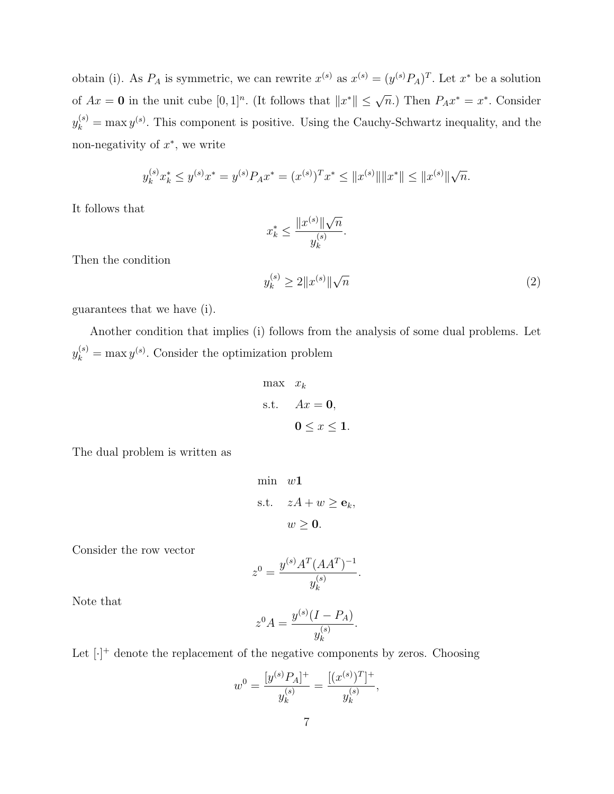obtain (i). As  $P_A$  is symmetric, we can rewrite  $x^{(s)}$  as  $x^{(s)} = (y^{(s)}P_A)^T$ . Let  $x^*$  be a solution of  $Ax = 0$  in the unit cube  $[0,1]^n$ . (It follows that  $||x^*|| \leq \sqrt{n}$ .) Then  $P_A x^* = x^*$ . Consider  $y_k^{(s)} = \max y^{(s)}$ . This component is positive. Using the Cauchy-Schwartz inequality, and the non-negativity of  $x^*$ , we write

$$
y_k^{(s)} x_k^* \le y^{(s)} x^* = y^{(s)} P_A x^* = (x^{(s)})^T x^* \le ||x^{(s)}|| ||x^*|| \le ||x^{(s)}|| \sqrt{n}.
$$

It follows that

$$
x_k^* \le \frac{\|x^{(s)}\|\sqrt{n}}{y_k^{(s)}}.
$$

Then the condition

$$
y_k^{(s)} \ge 2 \|x^{(s)}\| \sqrt{n} \tag{2}
$$

guarantees that we have (i).

Another condition that implies (i) follows from the analysis of some dual problems. Let  $y_k^{(s)} = \max y^{(s)}$ . Consider the optimization problem

$$
\begin{aligned}\n\max \quad & x_k \\
\text{s.t.} \quad & Ax = \mathbf{0}, \\
& \mathbf{0} \le x \le \mathbf{1}.\n\end{aligned}
$$

The dual problem is written as

min 
$$
w1
$$
  
s.t.  $zA + w \ge \mathbf{e}_k$ ,  
 $w \ge 0$ .

Consider the row vector

$$
z^{0} = \frac{y^{(s)} A^{T} (A A^{T})^{-1}}{y_{k}^{(s)}}.
$$

Note that

$$
z^{0} A = \frac{y^{(s)}(I - P_{A})}{y_{k}^{(s)}}.
$$

Let  $[\cdot]^+$  denote the replacement of the negative components by zeros. Choosing

$$
w^{0} = \frac{[y^{(s)}P_{A}]^{+}}{y_{k}^{(s)}} = \frac{[(x^{(s)})^{T}]^{+}}{y_{k}^{(s)}},
$$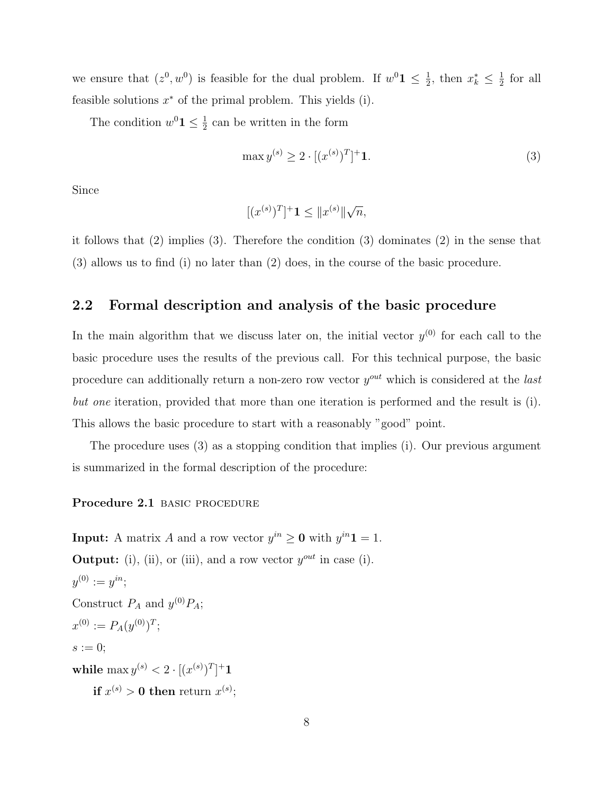we ensure that  $(z^0, w^0)$  is feasible for the dual problem. If  $w^0 \mathbf{1} \leq \frac{1}{2}$  $\frac{1}{2}$ , then  $x_k^* \leq \frac{1}{2}$  $rac{1}{2}$  for all feasible solutions  $x^*$  of the primal problem. This yields (i).

The condition  $w^0 \mathbf{1} \leq \frac{1}{2}$  $\frac{1}{2}$  can be written in the form

$$
\max y^{(s)} \ge 2 \cdot [(x^{(s)})^T]^+ \mathbf{1}.\tag{3}
$$

Since

$$
[(x^{(s)})^T]^+ \mathbf{1} \le ||x^{(s)}||\sqrt{n},
$$

it follows that (2) implies (3). Therefore the condition (3) dominates (2) in the sense that (3) allows us to find (i) no later than (2) does, in the course of the basic procedure.

# 2.2 Formal description and analysis of the basic procedure

In the main algorithm that we discuss later on, the initial vector  $y^{(0)}$  for each call to the basic procedure uses the results of the previous call. For this technical purpose, the basic procedure can additionally return a non-zero row vector  $y^{out}$  which is considered at the *last* but one iteration, provided that more than one iteration is performed and the result is (i). This allows the basic procedure to start with a reasonably "good" point.

The procedure uses (3) as a stopping condition that implies (i). Our previous argument is summarized in the formal description of the procedure:

#### Procedure 2.1 BASIC PROCEDURE

**Input:** A matrix A and a row vector  $y^{in} \ge 0$  with  $y^{in}1 = 1$ . **Output:** (i), (ii), or (iii), and a row vector  $y^{out}$  in case (i).  $y^{(0)}:=y^{in};$ Construct  $P_A$  and  $y^{(0)}P_A$ ;  $x^{(0)} := P_A(y^{(0)})^T;$  $s := 0$ ; while  $\max y^{(s)} < 2 \cdot [(x^{(s)})^T]^+ \mathbf{1}$  $\textbf{if}~x^{(s)} > \textbf{0}~\textbf{then}~\text{return}~x^{(s)};$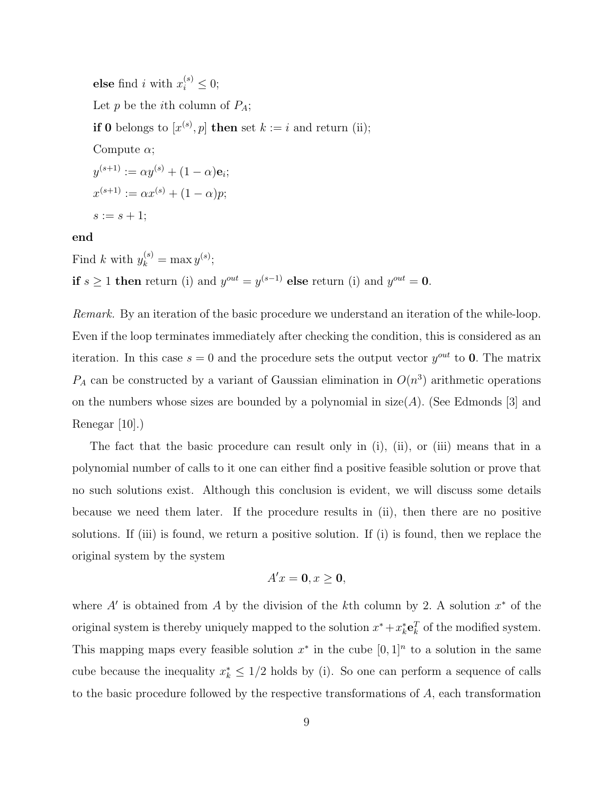**else** find *i* with  $x_i^{(s)} \leq 0$ ; Let  $p$  be the *i*th column of  $P_A$ ; **if 0** belongs to  $[x^{(s)}, p]$  then set  $k := i$  and return (ii); Compute  $\alpha$ ;  $y^{(s+1)} := \alpha y^{(s)} + (1-\alpha) \mathbf{e}_i;$  $x^{(s+1)} := \alpha x^{(s)} + (1-\alpha)p;$  $s := s + 1;$ 

#### end

Find k with  $y_k^{(s)} = \max y^{(s)}$ ; if  $s \geq 1$  then return (i) and  $y^{out} = y^{(s-1)}$  else return (i) and  $y^{out} = 0$ .

Remark. By an iteration of the basic procedure we understand an iteration of the while-loop. Even if the loop terminates immediately after checking the condition, this is considered as an iteration. In this case  $s = 0$  and the procedure sets the output vector  $y^{out}$  to 0. The matrix  $P_A$  can be constructed by a variant of Gaussian elimination in  $O(n^3)$  arithmetic operations on the numbers whose sizes are bounded by a polynomial in  $size(A)$ . (See Edmonds [3] and Renegar [10].)

The fact that the basic procedure can result only in (i), (ii), or (iii) means that in a polynomial number of calls to it one can either find a positive feasible solution or prove that no such solutions exist. Although this conclusion is evident, we will discuss some details because we need them later. If the procedure results in (ii), then there are no positive solutions. If (iii) is found, we return a positive solution. If (i) is found, then we replace the original system by the system

$$
A'x = \mathbf{0}, x \ge \mathbf{0},
$$

where  $A'$  is obtained from A by the division of the kth column by 2. A solution  $x^*$  of the original system is thereby uniquely mapped to the solution  $x^* + x_k^* \mathbf{e}_k^T$  of the modified system. This mapping maps every feasible solution  $x^*$  in the cube  $[0,1]^n$  to a solution in the same cube because the inequality  $x_k^* \leq 1/2$  holds by (i). So one can perform a sequence of calls to the basic procedure followed by the respective transformations of A, each transformation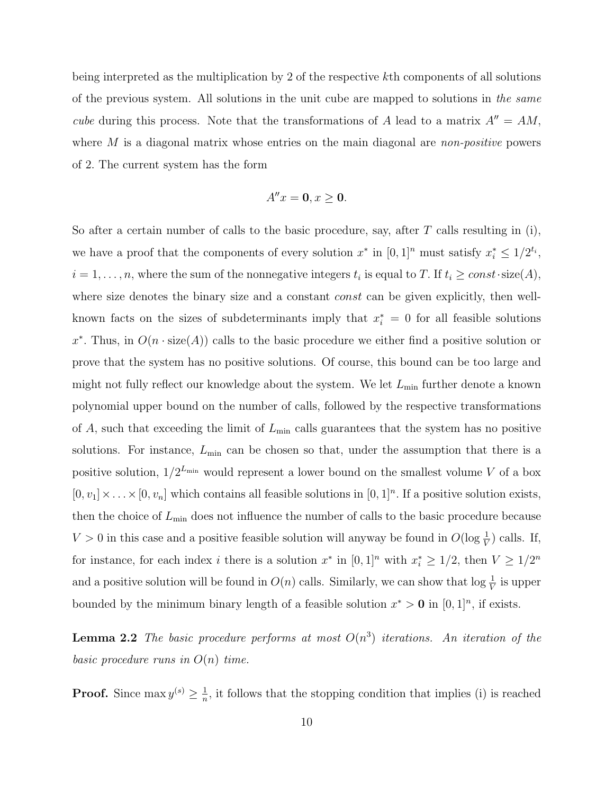being interpreted as the multiplication by 2 of the respective kth components of all solutions of the previous system. All solutions in the unit cube are mapped to solutions in the same cube during this process. Note that the transformations of A lead to a matrix  $A'' = AM$ , where  $M$  is a diagonal matrix whose entries on the main diagonal are *non-positive* powers of 2. The current system has the form

$$
A''x = \mathbf{0}, x \ge \mathbf{0}.
$$

So after a certain number of calls to the basic procedure, say, after  $T$  calls resulting in (i), we have a proof that the components of every solution  $x^*$  in  $[0,1]^n$  must satisfy  $x_i^* \leq 1/2^{t_i}$ ,  $i = 1, \ldots, n$ , where the sum of the nonnegative integers  $t_i$  is equal to T. If  $t_i \ge const \cdot size(A)$ , where size denotes the binary size and a constant *const* can be given explicitly, then wellknown facts on the sizes of subdeterminants imply that  $x_i^* = 0$  for all feasible solutions  $x^*$ . Thus, in  $O(n \cdot size(A))$  calls to the basic procedure we either find a positive solution or prove that the system has no positive solutions. Of course, this bound can be too large and might not fully reflect our knowledge about the system. We let  $L_{\text{min}}$  further denote a known polynomial upper bound on the number of calls, followed by the respective transformations of A, such that exceeding the limit of  $L_{\text{min}}$  calls guarantees that the system has no positive solutions. For instance,  $L_{\text{min}}$  can be chosen so that, under the assumption that there is a positive solution,  $1/2^{L_{\min}}$  would represent a lower bound on the smallest volume V of a box  $[0, v_1] \times \ldots \times [0, v_n]$  which contains all feasible solutions in  $[0, 1]^n$ . If a positive solution exists, then the choice of  $L_{\text{min}}$  does not influence the number of calls to the basic procedure because  $V > 0$  in this case and a positive feasible solution will anyway be found in  $O(\log \frac{1}{V})$  calls. If, for instance, for each index *i* there is a solution  $x^*$  in  $[0,1]^n$  with  $x_i^* \geq 1/2$ , then  $V \geq 1/2^n$ and a positive solution will be found in  $O(n)$  calls. Similarly, we can show that  $\log \frac{1}{V}$  is upper bounded by the minimum binary length of a feasible solution  $x^* > 0$  in  $[0, 1]^n$ , if exists.

**Lemma 2.2** The basic procedure performs at most  $O(n^3)$  iterations. An iteration of the basic procedure runs in  $O(n)$  time.

**Proof.** Since  $\max y^{(s)} \geq \frac{1}{n}$  $\frac{1}{n}$ , it follows that the stopping condition that implies (i) is reached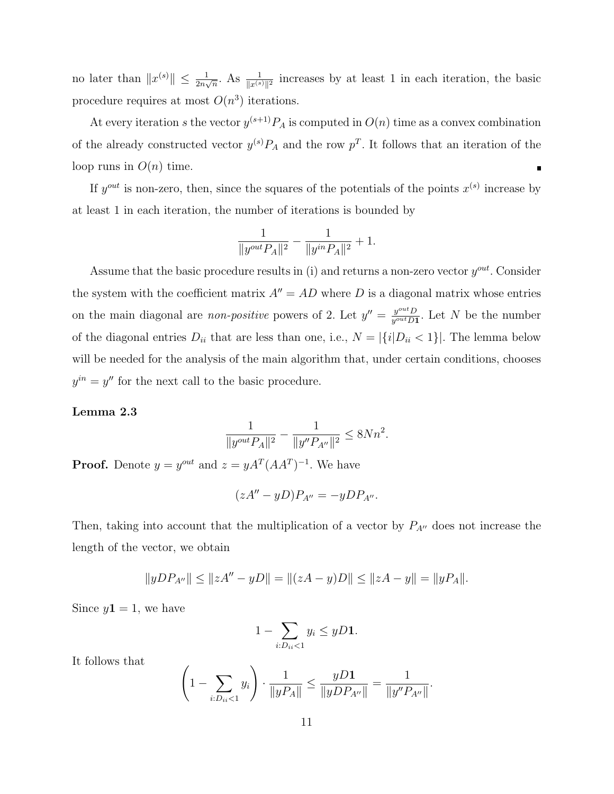no later than  $||x^{(s)}|| \leq \frac{1}{2n\sqrt{n}}$ . As  $\frac{1}{||x^{(s)}||^2}$  increases by at least 1 in each iteration, the basic procedure requires at most  $O(n^3)$  iterations.

At every iteration s the vector  $y^{(s+1)}P_A$  is computed in  $O(n)$  time as a convex combination of the already constructed vector  $y^{(s)}P_A$  and the row  $p^T$ . It follows that an iteration of the loop runs in  $O(n)$  time.  $\blacksquare$ 

If  $y^{out}$  is non-zero, then, since the squares of the potentials of the points  $x^{(s)}$  increase by at least 1 in each iteration, the number of iterations is bounded by

$$
\frac{1}{\|y^{out}P_A\|^2}-\frac{1}{\|y^{in}P_A\|^2}+1.
$$

Assume that the basic procedure results in (i) and returns a non-zero vector  $y^{out}$ . Consider the system with the coefficient matrix  $A'' = AD$  where D is a diagonal matrix whose entries on the main diagonal are *non-positive* powers of 2. Let  $y'' = \frac{y^{out}D}{y^{out}D}$  $\frac{y^{out}D}{y^{out}D1}$ . Let N be the number of the diagonal entries  $D_{ii}$  that are less than one, i.e.,  $N = |\{i|D_{ii} < 1\}|$ . The lemma below will be needed for the analysis of the main algorithm that, under certain conditions, chooses  $y^{in} = y''$  for the next call to the basic procedure.

#### Lemma 2.3

$$
\frac{1}{\|y^{out}P_A\|^2} - \frac{1}{\|y''P_{A''}\|^2} \le 8Nn^2.
$$

**Proof.** Denote  $y = y^{out}$  and  $z = yA^{T}(AA^{T})^{-1}$ . We have

$$
(zA'' - yD)P_{A''} = -yDP_{A''}.
$$

Then, taking into account that the multiplication of a vector by  $P_{A}$ <sup> $\prime$ </sup> does not increase the length of the vector, we obtain

$$
||yDP_{A''}|| \le ||zA'' - yD|| = ||(zA - y)D|| \le ||zA - y|| = ||yP_A||.
$$

Since  $y1 = 1$ , we have

$$
1 - \sum_{i:D_{ii} < 1} y_i \le yD1.
$$

It follows that

$$
\left(1 - \sum_{i:D_{ii} < 1} y_i\right) \cdot \frac{1}{\|yP_A\|} \le \frac{yD\mathbf{1}}{\|yDP_{A''}\|} = \frac{1}{\|y''P_{A''}\|}.
$$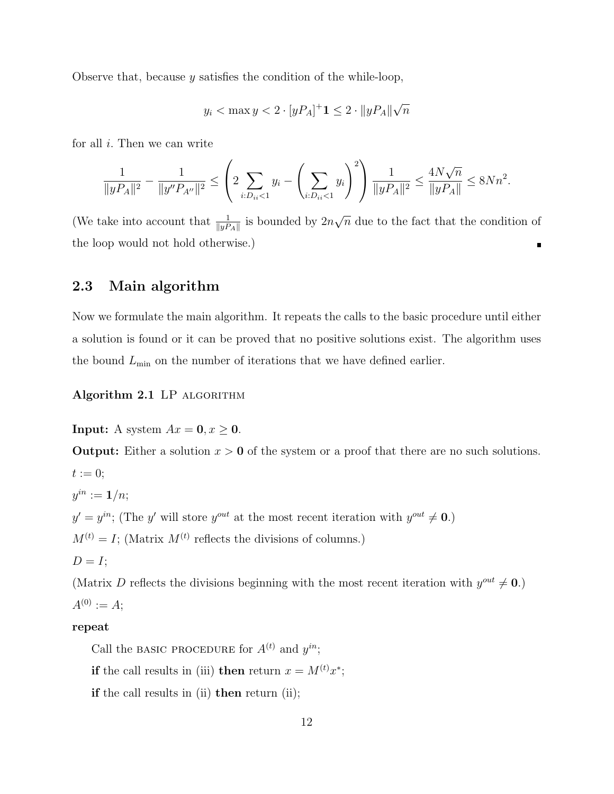Observe that, because y satisfies the condition of the while-loop,

$$
y_i < \max y < 2 \cdot [yP_A]^+ \mathbf{1} \le 2 \cdot ||yP_A|| \sqrt{n}
$$

for all  $i$ . Then we can write

$$
\frac{1}{\|yP_A\|^2} - \frac{1}{\|y''P_{A''}\|^2} \leq \left(2\sum_{i:D_{ii} < 1} y_i - \left(\sum_{i:D_{ii} < 1} y_i\right)^2\right) \frac{1}{\|yP_A\|^2} \leq \frac{4N\sqrt{n}}{\|yP_A\|} \leq 8Nn^2.
$$

√ (We take into account that  $\frac{1}{\|yP_A\|}$  is bounded by  $2n$  $\overline{n}$  due to the fact that the condition of the loop would not hold otherwise.)  $\blacksquare$ 

# 2.3 Main algorithm

Now we formulate the main algorithm. It repeats the calls to the basic procedure until either a solution is found or it can be proved that no positive solutions exist. The algorithm uses the bound  $L_{\text{min}}$  on the number of iterations that we have defined earlier.

Algorithm 2.1 LP ALGORITHM

**Input:** A system  $Ax = 0, x \ge 0$ .

**Output:** Either a solution  $x > 0$  of the system or a proof that there are no such solutions.

 $t := 0;$  $y^{in} := \mathbf{1}/n;$  $y' = y^{in}$ ; (The y' will store  $y^{out}$  at the most recent iteration with  $y^{out} \neq 0$ .)  $M^{(t)} = I$ ; (Matrix  $M^{(t)}$  reflects the divisions of columns.)  $D = I;$ 

(Matrix D reflects the divisions beginning with the most recent iteration with  $y^{out} \neq 0$ .)  $A^{(0)} := A;$ 

### repeat

Call the BASIC PROCEDURE for  $A^{(t)}$  and  $y^{in}$ ;

if the call results in (iii) then return  $x = M^{(t)}x^*$ ;

if the call results in (ii) then return (ii);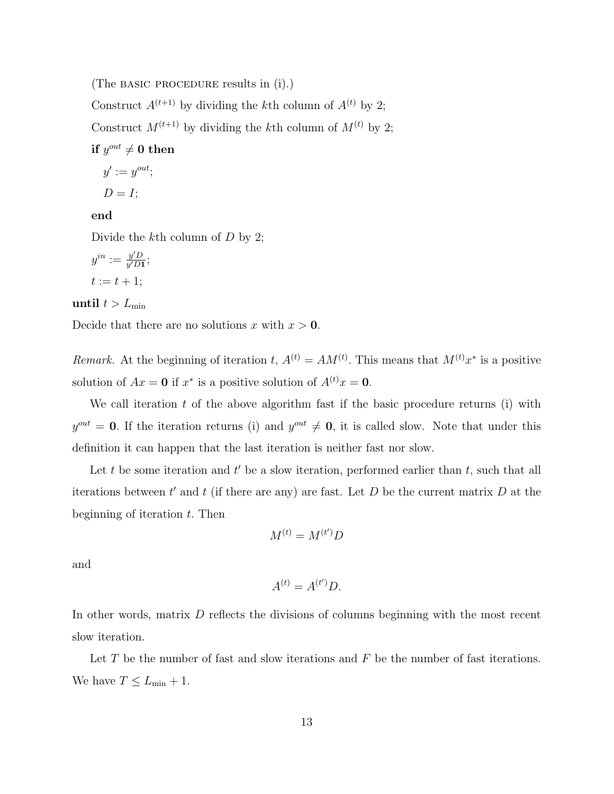(The basic procedure results in (i).)

Construct  $A^{(t+1)}$  by dividing the kth column of  $A^{(t)}$  by 2;

Construct  $M^{(t+1)}$  by dividing the kth column of  $M^{(t)}$  by 2;

# $\text{if } y^{out} \neq 0 \text{ then}$

$$
y' := y^{out};
$$

$$
D = I;
$$

#### end

Divide the k<sup>th</sup> column of D by 2;

$$
y^{in} := \frac{y'D}{y'D1};
$$
  

$$
t := t + 1;
$$

until  $t > L_{\text{min}}$ 

Decide that there are no solutions x with  $x > 0$ .

Remark. At the beginning of iteration t,  $A^{(t)} = AM^{(t)}$ . This means that  $M^{(t)}x^*$  is a positive solution of  $Ax = 0$  if  $x^*$  is a positive solution of  $A^{(t)}x = 0$ .

We call iteration  $t$  of the above algorithm fast if the basic procedure returns (i) with  $y^{out} = 0$ . If the iteration returns (i) and  $y^{out} \neq 0$ , it is called slow. Note that under this definition it can happen that the last iteration is neither fast nor slow.

Let t be some iteration and  $t'$  be a slow iteration, performed earlier than  $t$ , such that all iterations between  $t'$  and  $t$  (if there are any) are fast. Let  $D$  be the current matrix  $D$  at the beginning of iteration  $t$ . Then

$$
M^{(t)} = M^{(t')}D
$$

and

$$
A^{(t)} = A^{(t')}D.
$$

In other words, matrix D reflects the divisions of columns beginning with the most recent slow iteration.

Let  $T$  be the number of fast and slow iterations and  $F$  be the number of fast iterations. We have  $T \leq L_{\min} + 1$ .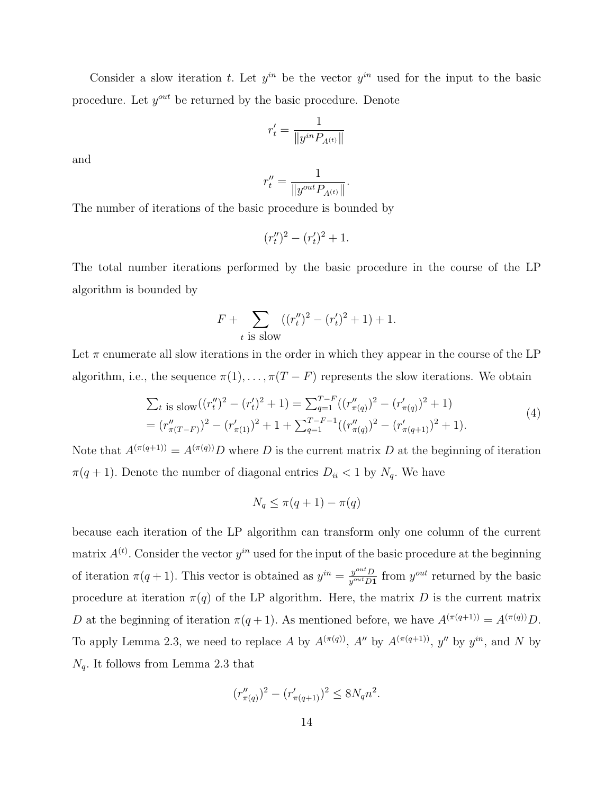Consider a slow iteration t. Let  $y^{in}$  be the vector  $y^{in}$  used for the input to the basic procedure. Let  $y^{out}$  be returned by the basic procedure. Denote

$$
r'_t=\frac{1}{\|y^{in}P_{A^{(t)}}\|}
$$

and

$$
r''_t = \frac{1}{\|y^{out}P_{A^{(t)}}\|}.
$$

The number of iterations of the basic procedure is bounded by

$$
(r''_t)^2 - (r'_t)^2 + 1.
$$

The total number iterations performed by the basic procedure in the course of the LP algorithm is bounded by

$$
F + \sum_{t \text{ is slow}} ((r''_t)^2 - (r'_t)^2 + 1) + 1.
$$

Let  $\pi$  enumerate all slow iterations in the order in which they appear in the course of the LP algorithm, i.e., the sequence  $\pi(1), \ldots, \pi(T - F)$  represents the slow iterations. We obtain

$$
\sum_{t} \text{ is slow}((r''_t)^2 - (r'_t)^2 + 1) = \sum_{q=1}^{T-F} ((r''_{\pi(q)})^2 - (r'_{\pi(q)})^2 + 1)
$$
  
=  $(r''_{\pi(T-F)})^2 - (r'_{\pi(1)})^2 + 1 + \sum_{q=1}^{T-F-1} ((r''_{\pi(q)})^2 - (r'_{\pi(q+1)})^2 + 1).$  (4)

Note that  $A^{(\pi(q+1))} = A^{(\pi(q))}D$  where D is the current matrix D at the beginning of iteration  $\pi(q + 1)$ . Denote the number of diagonal entries  $D_{ii} < 1$  by  $N_q$ . We have

$$
N_q \le \pi(q+1) - \pi(q)
$$

because each iteration of the LP algorithm can transform only one column of the current matrix  $A^{(t)}$ . Consider the vector  $y^{in}$  used for the input of the basic procedure at the beginning of iteration  $\pi(q+1)$ . This vector is obtained as  $y^{in} = \frac{y^{out}D}{y^{out}D!}$  $y^{out}D$  from  $y^{out}$  returned by the basic procedure at iteration  $\pi(q)$  of the LP algorithm. Here, the matrix D is the current matrix D at the beginning of iteration  $\pi(q+1)$ . As mentioned before, we have  $A^{(\pi(q+1))} = A^{(\pi(q))}D$ . To apply Lemma 2.3, we need to replace A by  $A^{(\pi(q))}$ ,  $A''$  by  $A^{(\pi(q+1))}$ ,  $y''$  by  $y^{in}$ , and N by  $N_q$ . It follows from Lemma 2.3 that

$$
(r''_{\pi(q)})^2 - (r'_{\pi(q+1)})^2 \le 8N_q n^2.
$$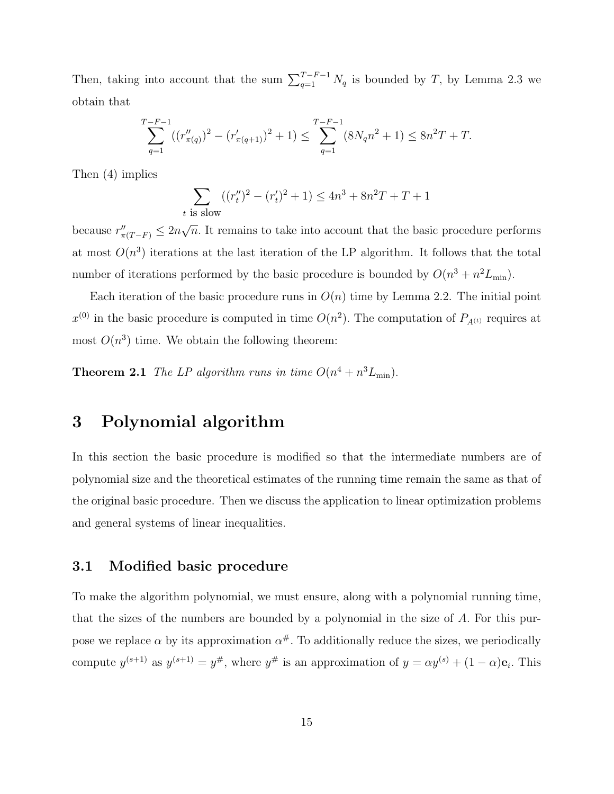Then, taking into account that the sum  $\sum_{q=1}^{T-F-1} N_q$  is bounded by T, by Lemma 2.3 we obtain that

$$
\sum_{q=1}^{T-F-1} ((r''_{\pi(q)})^2 - (r'_{\pi(q+1)})^2 + 1) \le \sum_{q=1}^{T-F-1} (8N_q n^2 + 1) \le 8n^2 T + T.
$$

Then (4) implies

$$
\sum_{t \text{ is slow}} ((r''_t)^2 - (r'_t)^2 + 1) \le 4n^3 + 8n^2T + T + 1
$$

because  $r''_{\pi(T-F)} \leq 2n$ √  $\overline{n}$ . It remains to take into account that the basic procedure performs at most  $O(n^3)$  iterations at the last iteration of the LP algorithm. It follows that the total number of iterations performed by the basic procedure is bounded by  $O(n^3 + n^2 L_{\text{min}})$ .

Each iteration of the basic procedure runs in  $O(n)$  time by Lemma 2.2. The initial point  $x^{(0)}$  in the basic procedure is computed in time  $O(n^2)$ . The computation of  $P_{A^{(t)}}$  requires at most  $O(n^3)$  time. We obtain the following theorem:

**Theorem 2.1** The LP algorithm runs in time  $O(n^4 + n^3 L_{\min})$ .

# 3 Polynomial algorithm

In this section the basic procedure is modified so that the intermediate numbers are of polynomial size and the theoretical estimates of the running time remain the same as that of the original basic procedure. Then we discuss the application to linear optimization problems and general systems of linear inequalities.

## 3.1 Modified basic procedure

To make the algorithm polynomial, we must ensure, along with a polynomial running time, that the sizes of the numbers are bounded by a polynomial in the size of  $A$ . For this purpose we replace  $\alpha$  by its approximation  $\alpha^{\#}$ . To additionally reduce the sizes, we periodically compute  $y^{(s+1)}$  as  $y^{(s+1)} = y^{\#}$ , where  $y^{\#}$  is an approximation of  $y = \alpha y^{(s)} + (1 - \alpha)\mathbf{e}_i$ . This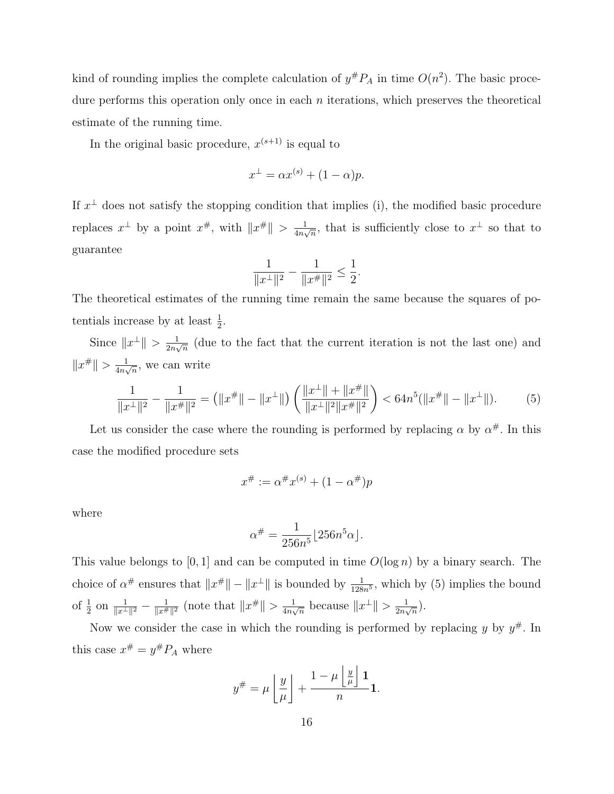kind of rounding implies the complete calculation of  $y^{\#}P_A$  in time  $O(n^2)$ . The basic procedure performs this operation only once in each  $n$  iterations, which preserves the theoretical estimate of the running time.

In the original basic procedure,  $x^{(s+1)}$  is equal to

$$
x^{\perp} = \alpha x^{(s)} + (1 - \alpha)p.
$$

If  $x^{\perp}$  does not satisfy the stopping condition that implies (i), the modified basic procedure replaces  $x^{\perp}$  by a point  $x^{\#}$ , with  $||x^{\#}|| > \frac{1}{4n}$  $\frac{1}{4n\sqrt{n}}$ , that is sufficiently close to  $x^{\perp}$  so that to guarantee

$$
\frac{1}{\|x^\perp\|^2}-\frac{1}{\|x^\# \|^2}\leq \frac{1}{2}.
$$

The theoretical estimates of the running time remain the same because the squares of potentials increase by at least  $\frac{1}{2}$ .

Since  $||x^{\perp}|| > \frac{1}{2n}$  $\frac{1}{2n\sqrt{n}}$  (due to the fact that the current iteration is not the last one) and  $||x^{\#}|| > \frac{1}{4n}$  $\frac{1}{4n\sqrt{n}}$ , we can write

$$
\frac{1}{\|x^{\perp}\|^2} - \frac{1}{\|x^{\#}\|^2} = \left(\|x^{\#}\| - \|x^{\perp}\|\right) \left(\frac{\|x^{\perp}\| + \|x^{\#}\|}{\|x^{\perp}\|^2 \|x^{\#}\|^2}\right) < 64n^5(\|x^{\#}\| - \|x^{\perp}\|). \tag{5}
$$

Let us consider the case where the rounding is performed by replacing  $\alpha$  by  $\alpha^{\#}$ . In this case the modified procedure sets

$$
x^{\#} := \alpha^{\#} x^{(s)} + (1 - \alpha^{\#}) p
$$

where

$$
\alpha^{\#} = \frac{1}{256n^5} \lfloor 256n^5\alpha \rfloor.
$$

This value belongs to [0, 1] and can be computed in time  $O(\log n)$  by a binary search. The choice of  $\alpha^{\#}$  ensures that  $||x^{\#}|| - ||x^{\perp}||$  is bounded by  $\frac{1}{128n^5}$ , which by (5) implies the bound of  $\frac{1}{2}$  on  $\frac{1}{\|x^{\perp}\|^2} - \frac{1}{\|x^{\#}}$  $\frac{1}{\|x^{\#}\|^2}$  (note that  $\|x^{\#}\| > \frac{1}{4n}$ )  $\frac{1}{4n\sqrt{n}}$  because  $||x^{\perp}|| > \frac{1}{2n\sqrt{n}}$  $\frac{1}{2n\sqrt{n}}$ .

Now we consider the case in which the rounding is performed by replacing  $y$  by  $y^{\#}$ . In this case  $x^{\#} = y^{\#} P_A$  where

k

$$
y^{\#} = \mu \left\lfloor \frac{y}{\mu} \right\rfloor + \frac{1 - \mu \left\lfloor \frac{y}{\mu} \right\rfloor \mathbf{1}}{n} \mathbf{1}.
$$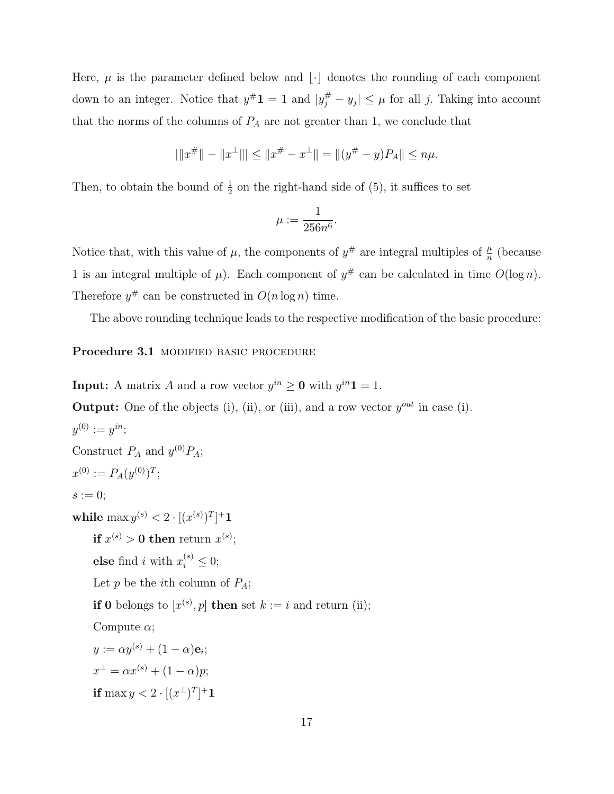Here,  $\mu$  is the parameter defined below and  $|\cdot|$  denotes the rounding of each component down to an integer. Notice that  $y^{\#}1 = 1$  and  $|y^{\#}_j - y_j| \leq \mu$  for all j. Taking into account that the norms of the columns of  $P_A$  are not greater than 1, we conclude that

$$
|\|x^{\#}\| - \|x^{\perp}\|| \le \|x^{\#} - x^{\perp}\| = \|(y^{\#} - y)P_A\| \le n\mu.
$$

Then, to obtain the bound of  $\frac{1}{2}$  on the right-hand side of (5), it suffices to set

$$
\mu := \frac{1}{256n^6}.
$$

Notice that, with this value of  $\mu$ , the components of  $y^{\#}$  are integral multiples of  $\frac{\mu}{n}$  (because 1 is an integral multiple of  $\mu$ ). Each component of  $y^{\#}$  can be calculated in time  $O(\log n)$ . Therefore  $y^{\#}$  can be constructed in  $O(n \log n)$  time.

The above rounding technique leads to the respective modification of the basic procedure:

Procedure 3.1 MODIFIED BASIC PROCEDURE

**Input:** A matrix A and a row vector  $y^{in} \ge 0$  with  $y^{in}1 = 1$ . **Output:** One of the objects (i), (ii), or (iii), and a row vector  $y^{out}$  in case (i).  $y^{(0)} := y^{in}$ ; Construct  $P_A$  and  $y^{(0)}P_A$ ;  $x^{(0)} := P_A(y^{(0)})^T;$  $s := 0;$ while  $\max y^{(s)} < 2 \cdot [(x^{(s)})^T]^+ \mathbf{1}$  ${\rm \bf if\ } x^{(s)} > {\bf 0} \ {\rm \bf then\ } {\rm \bf return\ } x^{(s)};$ else find *i* with  $x_i^{(s)} \leq 0$ ; Let p be the *i*th column of  $P_A$ ; **if 0** belongs to  $[x^{(s)}, p]$  then set  $k := i$  and return (ii); Compute  $\alpha$ ;  $y := \alpha y^{(s)} + (1 - \alpha)\mathbf{e}_i;$  $x^{\perp} = \alpha x^{(s)} + (1 - \alpha)p;$ if  $\max y < 2 \cdot \left[ (x^{\perp})^T \right]^+ 1$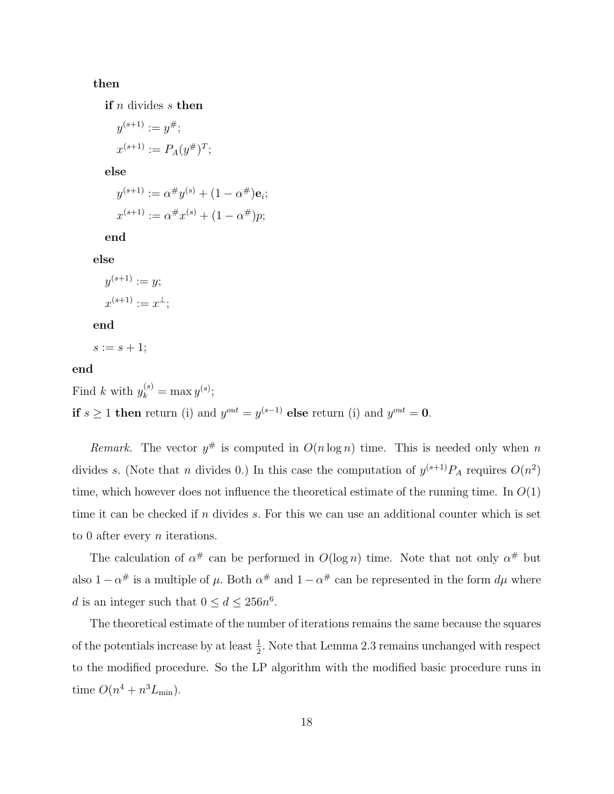#### then

if  $n$  divides  $s$  then

$$
y^{(s+1)} := y^{\#};
$$
  
 $x^{(s+1)} := P_A(y^{\#})^T;$ 

else

$$
y^{(s+1)} := \alpha^{\#} y^{(s)} + (1 - \alpha^{\#}) \mathbf{e}_i;
$$
  

$$
x^{(s+1)} := \alpha^{\#} x^{(s)} + (1 - \alpha^{\#}) p;
$$

end

else

$$
y^{(s+1)} := y;
$$
  
 $x^{(s+1)} := x^{\perp};$ 

end

 $s := s + 1;$ 

## end

Find k with  $y_k^{(s)} = \max y^{(s)}$ ; if  $s \geq 1$  then return (i) and  $y^{out} = y^{(s-1)}$  else return (i) and  $y^{out} = 0$ .

Remark. The vector  $y^{\#}$  is computed in  $O(n \log n)$  time. This is needed only when n divides s. (Note that n divides 0.) In this case the computation of  $y^{(s+1)}P_A$  requires  $O(n^2)$ time, which however does not influence the theoretical estimate of the running time. In  $O(1)$ time it can be checked if  $n$  divides  $s$ . For this we can use an additional counter which is set to 0 after every  $n$  iterations.

The calculation of  $\alpha^{\#}$  can be performed in  $O(\log n)$  time. Note that not only  $\alpha^{\#}$  but also  $1-\alpha^{\#}$  is a multiple of  $\mu$ . Both  $\alpha^{\#}$  and  $1-\alpha^{\#}$  can be represented in the form  $d\mu$  where d is an integer such that  $0 \le d \le 256n^6$ .

The theoretical estimate of the number of iterations remains the same because the squares of the potentials increase by at least  $\frac{1}{2}$ . Note that Lemma 2.3 remains unchanged with respect to the modified procedure. So the LP algorithm with the modified basic procedure runs in time  $O(n^4 + n^3 L_{\min})$ .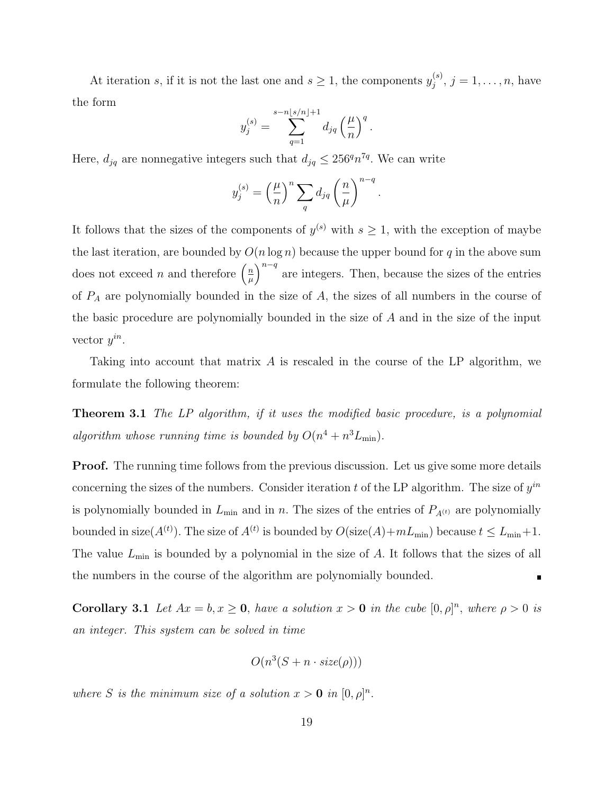At iteration s, if it is not the last one and  $s \geq 1$ , the components  $y_j^{(s)}$  $j^{(s)}$ ,  $j = 1, ..., n$ , have the form

$$
y_j^{(s)} = \sum_{q=1}^{s-n \lfloor s/n \rfloor + 1} d_{jq} \left(\frac{\mu}{n}\right)^q.
$$

Here,  $d_{jq}$  are nonnegative integers such that  $d_{jq} \leq 256^q n^{7q}$ . We can write

$$
y_j^{(s)} = \left(\frac{\mu}{n}\right)^n \sum_q d_{jq} \left(\frac{n}{\mu}\right)^{n-q}
$$

.

It follows that the sizes of the components of  $y^{(s)}$  with  $s \geq 1$ , with the exception of maybe the last iteration, are bounded by  $O(n \log n)$  because the upper bound for q in the above sum does not exceed *n* and therefore  $\left(\frac{n}{u}\right)$  $\left(\frac{n}{\mu}\right)^{n-q}$  are integers. Then, because the sizes of the entries of  $P_A$  are polynomially bounded in the size of  $A$ , the sizes of all numbers in the course of the basic procedure are polynomially bounded in the size of A and in the size of the input vector  $y^{in}$ .

Taking into account that matrix A is rescaled in the course of the LP algorithm, we formulate the following theorem:

**Theorem 3.1** The LP algorithm, if it uses the modified basic procedure, is a polynomial algorithm whose running time is bounded by  $O(n^4 + n^3 L_{\text{min}})$ .

**Proof.** The running time follows from the previous discussion. Let us give some more details concerning the sizes of the numbers. Consider iteration t of the LP algorithm. The size of  $y^{in}$ is polynomially bounded in  $L_{\text{min}}$  and in n. The sizes of the entries of  $P_{A^{(t)}}$  are polynomially bounded in size( $A^{(t)}$ ). The size of  $A^{(t)}$  is bounded by  $O(\text{size}(A) + mL_{\text{min}})$  because  $t \leq L_{\text{min}} + 1$ . The value  $L_{\text{min}}$  is bounded by a polynomial in the size of A. It follows that the sizes of all the numbers in the course of the algorithm are polynomially bounded.

**Corollary 3.1** Let  $Ax = b, x \ge 0$ , have a solution  $x > 0$  in the cube  $[0, \rho]^n$ , where  $\rho > 0$  is an integer. This system can be solved in time

$$
O(n^3(S + n \cdot size(\rho)))
$$

where S is the minimum size of a solution  $x > 0$  in  $[0, \rho]^n$ .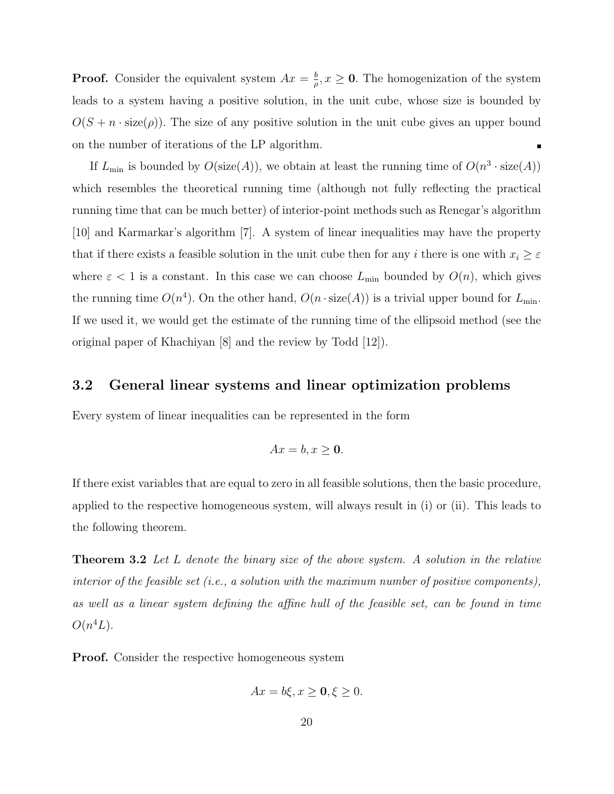**Proof.** Consider the equivalent system  $Ax = \frac{b}{a}$  $\frac{b}{\rho}$ ,  $x \geq 0$ . The homogenization of the system leads to a system having a positive solution, in the unit cube, whose size is bounded by  $O(S + n \cdot size(\rho))$ . The size of any positive solution in the unit cube gives an upper bound on the number of iterations of the LP algorithm.

If  $L_{\text{min}}$  is bounded by  $O(\text{size}(A))$ , we obtain at least the running time of  $O(n^3 \cdot \text{size}(A))$ which resembles the theoretical running time (although not fully reflecting the practical running time that can be much better) of interior-point methods such as Renegar's algorithm [10] and Karmarkar's algorithm [7]. A system of linear inequalities may have the property that if there exists a feasible solution in the unit cube then for any i there is one with  $x_i \geq \varepsilon$ where  $\varepsilon$  < 1 is a constant. In this case we can choose  $L_{\text{min}}$  bounded by  $O(n)$ , which gives the running time  $O(n^4)$ . On the other hand,  $O(n \cdot size(A))$  is a trivial upper bound for  $L_{\text{min}}$ . If we used it, we would get the estimate of the running time of the ellipsoid method (see the original paper of Khachiyan [8] and the review by Todd [12]).

## 3.2 General linear systems and linear optimization problems

Every system of linear inequalities can be represented in the form

$$
Ax = b, x \ge 0.
$$

If there exist variables that are equal to zero in all feasible solutions, then the basic procedure, applied to the respective homogeneous system, will always result in (i) or (ii). This leads to the following theorem.

**Theorem 3.2** Let L denote the binary size of the above system. A solution in the relative interior of the feasible set (i.e., a solution with the maximum number of positive components), as well as a linear system defining the affine hull of the feasible set, can be found in time  $O(n^4L)$ .

**Proof.** Consider the respective homogeneous system

$$
Ax = b\xi, x \ge 0, \xi \ge 0.
$$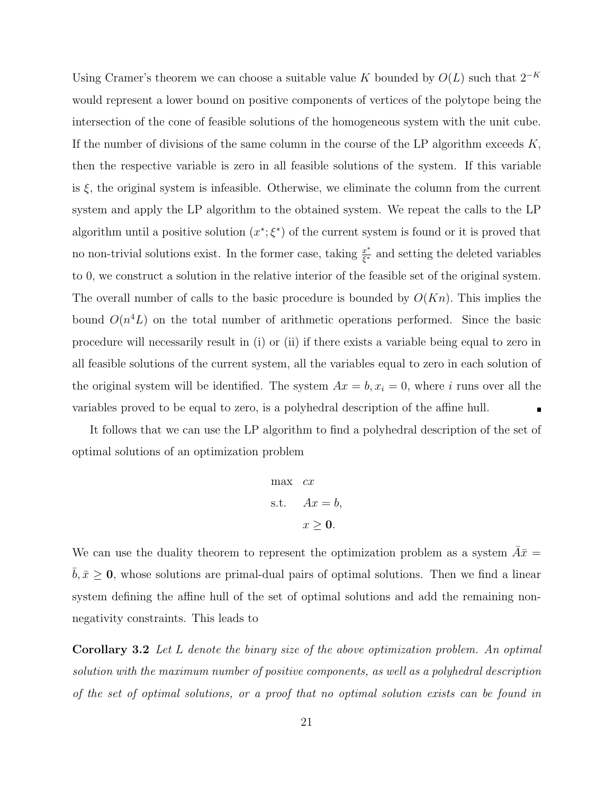Using Cramer's theorem we can choose a suitable value K bounded by  $O(L)$  such that  $2^{-K}$ would represent a lower bound on positive components of vertices of the polytope being the intersection of the cone of feasible solutions of the homogeneous system with the unit cube. If the number of divisions of the same column in the course of the LP algorithm exceeds  $K$ , then the respective variable is zero in all feasible solutions of the system. If this variable is  $\xi$ , the original system is infeasible. Otherwise, we eliminate the column from the current system and apply the LP algorithm to the obtained system. We repeat the calls to the LP algorithm until a positive solution  $(x^*, \xi^*)$  of the current system is found or it is proved that no non-trivial solutions exist. In the former case, taking  $\frac{x^*}{\epsilon^*}$  $\frac{x^*}{\xi^*}$  and setting the deleted variables to 0, we construct a solution in the relative interior of the feasible set of the original system. The overall number of calls to the basic procedure is bounded by  $O(Kn)$ . This implies the bound  $O(n^4L)$  on the total number of arithmetic operations performed. Since the basic procedure will necessarily result in (i) or (ii) if there exists a variable being equal to zero in all feasible solutions of the current system, all the variables equal to zero in each solution of the original system will be identified. The system  $Ax = b, x_i = 0$ , where i runs over all the variables proved to be equal to zero, is a polyhedral description of the affine hull.

It follows that we can use the LP algorithm to find a polyhedral description of the set of optimal solutions of an optimization problem

$$
\begin{aligned}\n\max \quad cx \\
\text{s.t.} \quad Ax = b, \\
x \ge 0.\n\end{aligned}
$$

We can use the duality theorem to represent the optimization problem as a system  $\bar{A}\bar{x}$  =  $b, \bar{x} \geq 0$ , whose solutions are primal-dual pairs of optimal solutions. Then we find a linear system defining the affine hull of the set of optimal solutions and add the remaining nonnegativity constraints. This leads to

Corollary 3.2 Let L denote the binary size of the above optimization problem. An optimal solution with the maximum number of positive components, as well as a polyhedral description of the set of optimal solutions, or a proof that no optimal solution exists can be found in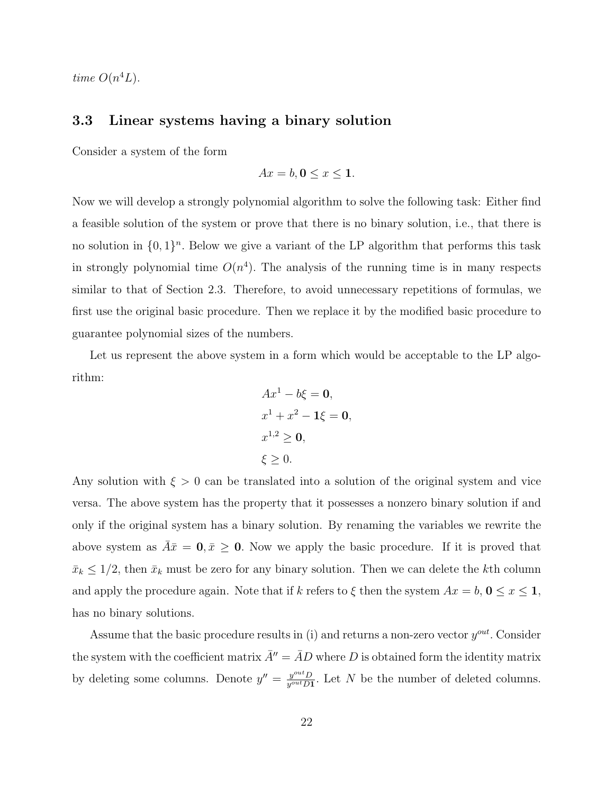time  $O(n^4L)$ .

# 3.3 Linear systems having a binary solution

Consider a system of the form

$$
Ax = b, \mathbf{0} \le x \le \mathbf{1}.
$$

Now we will develop a strongly polynomial algorithm to solve the following task: Either find a feasible solution of the system or prove that there is no binary solution, i.e., that there is no solution in  $\{0,1\}^n$ . Below we give a variant of the LP algorithm that performs this task in strongly polynomial time  $O(n<sup>4</sup>)$ . The analysis of the running time is in many respects similar to that of Section 2.3. Therefore, to avoid unnecessary repetitions of formulas, we first use the original basic procedure. Then we replace it by the modified basic procedure to guarantee polynomial sizes of the numbers.

Let us represent the above system in a form which would be acceptable to the LP algorithm:

$$
Ax^{1} - b\xi = 0,
$$
  
\n
$$
x^{1} + x^{2} - 1\xi = 0,
$$
  
\n
$$
x^{1,2} \ge 0,
$$
  
\n
$$
\xi \ge 0.
$$

Any solution with  $\xi > 0$  can be translated into a solution of the original system and vice versa. The above system has the property that it possesses a nonzero binary solution if and only if the original system has a binary solution. By renaming the variables we rewrite the above system as  $\bar{A}\bar{x} = 0, \bar{x} \ge 0$ . Now we apply the basic procedure. If it is proved that  $\bar{x}_k \leq 1/2$ , then  $\bar{x}_k$  must be zero for any binary solution. Then we can delete the kth column and apply the procedure again. Note that if k refers to  $\xi$  then the system  $Ax = b$ ,  $0 \le x \le 1$ , has no binary solutions.

Assume that the basic procedure results in (i) and returns a non-zero vector  $y^{out}$ . Consider the system with the coefficient matrix  $\bar{A}^{\prime\prime} = \bar{A}D$  where D is obtained form the identity matrix by deleting some columns. Denote  $y'' = \frac{y^{out}D}{y^{out}D}$  $\frac{y^{out}D}{y^{out}D1}$ . Let N be the number of deleted columns.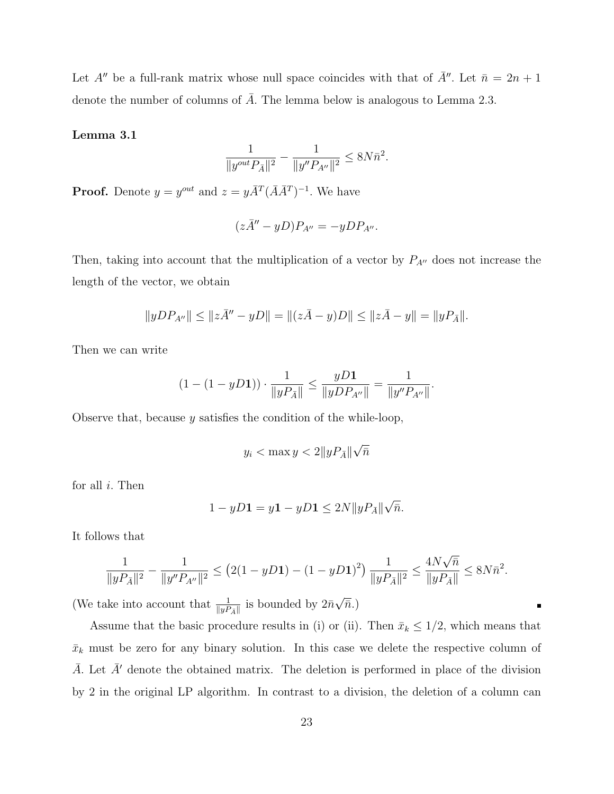Let A'' be a full-rank matrix whose null space coincides with that of  $\bar{A}$ ''. Let  $\bar{n} = 2n + 1$ denote the number of columns of  $\overline{A}$ . The lemma below is analogous to Lemma 2.3.

#### Lemma 3.1

$$
\frac{1}{\|y^{out}P_{\bar{A}}\|^2} - \frac{1}{\|y''P_{A''}\|^2} \leq 8N\bar{n}^2.
$$

**Proof.** Denote  $y = y^{out}$  and  $z = y\overline{A}^T(\overline{A}\overline{A}^T)^{-1}$ . We have

$$
(z\bar{A}'' - yD)P_{A''} = -yDP_{A''}.
$$

Then, taking into account that the multiplication of a vector by  $P_{A''}$  does not increase the length of the vector, we obtain

$$
||yDP_{A''}|| \le ||z\overline{A''} - yD|| = ||(z\overline{A} - y)D|| \le ||z\overline{A} - y|| = ||yP_{\overline{A}}||.
$$

Then we can write

$$
(1 - (1 - yD1)) \cdot \frac{1}{\|yP_{\bar{A}}\|} \le \frac{yD1}{\|yDP_{A''}\|} = \frac{1}{\|y''P_{A''}\|}.
$$

Observe that, because  $y$  satisfies the condition of the while-loop,

$$
y_i < \max y < 2||yP_{\bar{A}}||\sqrt{\bar{n}}
$$

for all  $i$ . Then

$$
1 - yD\mathbf{1} = y\mathbf{1} - yD\mathbf{1} \le 2N||yP_{\bar{A}}||\sqrt{\bar{n}}.
$$

It follows that

$$
\frac{1}{\|yP_{\bar{A}}\|^2} - \frac{1}{\|y''P_{A''}\|^2} \le (2(1-yD\mathbf{1}) - (1-yD\mathbf{1})^2) \frac{1}{\|yP_{\bar{A}}\|^2} \le \frac{4N\sqrt{\bar{n}}}{\|yP_{\bar{A}}\|} \le 8N\bar{n}^2.
$$

(We take into account that  $\frac{1}{\|yP_A\|}$  is bounded by  $2\bar{n}$  $\overline{\bar{n}}$ .)

Assume that the basic procedure results in (i) or (ii). Then  $\bar{x}_k \leq 1/2$ , which means that  $\bar{x}_k$  must be zero for any binary solution. In this case we delete the respective column of  $\overline{A}$ . Let  $\overline{A}$ <sup>'</sup> denote the obtained matrix. The deletion is performed in place of the division by 2 in the original LP algorithm. In contrast to a division, the deletion of a column can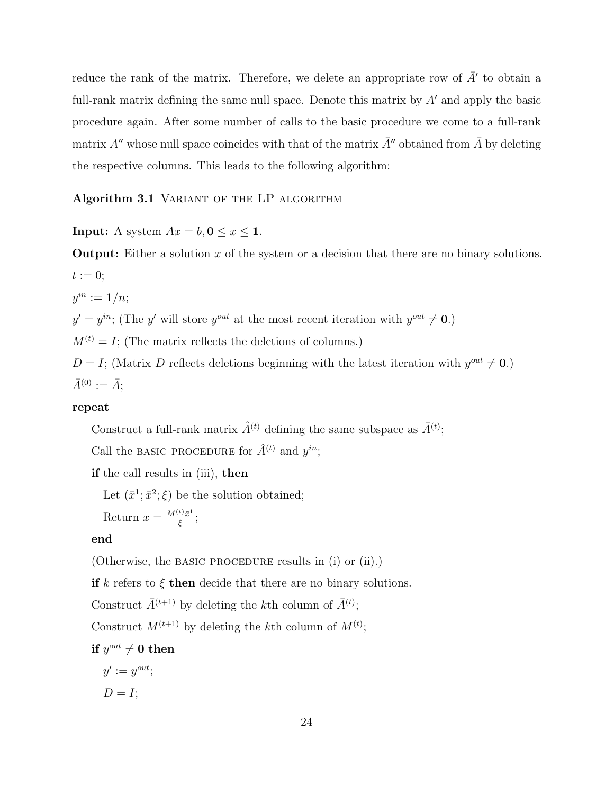reduce the rank of the matrix. Therefore, we delete an appropriate row of  $\bar{A}'$  to obtain a full-rank matrix defining the same null space. Denote this matrix by  $A'$  and apply the basic procedure again. After some number of calls to the basic procedure we come to a full-rank matrix A'' whose null space coincides with that of the matrix  $\bar{A}$ '' obtained from  $\bar{A}$  by deleting the respective columns. This leads to the following algorithm:

#### Algorithm 3.1 VARIANT OF THE LP ALGORITHM

**Input:** A system  $Ax = b, 0 \le x \le 1$ .

**Output:** Either a solution  $x$  of the system or a decision that there are no binary solutions.  $t := 0;$ 

 $y^{in} := \mathbf{1}/n;$ 

 $y' = y^{in}$ ; (The y' will store  $y^{out}$  at the most recent iteration with  $y^{out} \neq 0$ .)

 $M^{(t)} = I$ ; (The matrix reflects the deletions of columns.)

 $D = I$ ; (Matrix D reflects deletions beginning with the latest iteration with  $y^{out} \neq 0$ .)  $\bar{A}^{(0)} := \bar{A};$ 

### repeat

Construct a full-rank matrix  $\hat{A}^{(t)}$  defining the same subspace as  $\bar{A}^{(t)}$ ;

Call the BASIC PROCEDURE for  $\hat{A}^{(t)}$  and  $y^{in}$ ;

if the call results in (iii), then

Let  $(\bar{x}^1; \bar{x}^2; \xi)$  be the solution obtained;

Return  $x = \frac{M^{(t)}\bar{x}^1}{\epsilon}$  $\frac{\sqrt{y}+1}{\xi};$ 

#### end

(Otherwise, the BASIC PROCEDURE results in (i) or (ii).)

if k refers to  $\xi$  then decide that there are no binary solutions.

Construct  $\bar{A}^{(t+1)}$  by deleting the kth column of  $\bar{A}^{(t)}$ ;

Construct  $M^{(t+1)}$  by deleting the kth column of  $M^{(t)}$ ;

 $\text{if } y^{out} \neq 0 \text{ then}$ 

 $y' := y^{out}$ ;  $D = I;$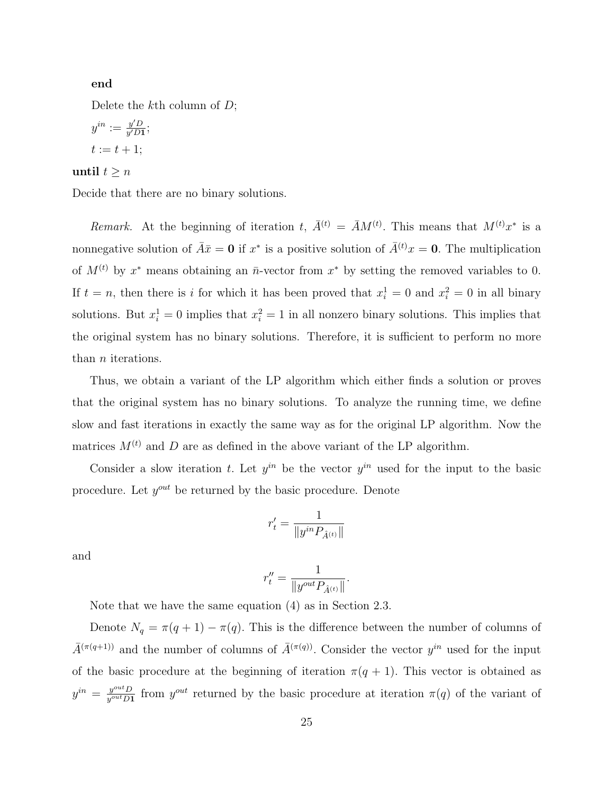#### end

Delete the  $k$ <sup>th</sup> column of  $D$ ;

$$
y^{in} := \frac{y'D}{y'D1};
$$
  

$$
t := t + 1;
$$

#### until  $t \geq n$

Decide that there are no binary solutions.

Remark. At the beginning of iteration t,  $\bar{A}^{(t)} = \bar{A}M^{(t)}$ . This means that  $M^{(t)}x^*$  is a nonnegative solution of  $\bar{A}\bar{x} = \mathbf{0}$  if  $x^*$  is a positive solution of  $\bar{A}^{(t)}x = \mathbf{0}$ . The multiplication of  $M^{(t)}$  by  $x^*$  means obtaining an  $\bar{n}$ -vector from  $x^*$  by setting the removed variables to 0. If  $t = n$ , then there is i for which it has been proved that  $x_i^1 = 0$  and  $x_i^2 = 0$  in all binary solutions. But  $x_i^1 = 0$  implies that  $x_i^2 = 1$  in all nonzero binary solutions. This implies that the original system has no binary solutions. Therefore, it is sufficient to perform no more than *n* iterations.

Thus, we obtain a variant of the LP algorithm which either finds a solution or proves that the original system has no binary solutions. To analyze the running time, we define slow and fast iterations in exactly the same way as for the original LP algorithm. Now the matrices  $M^{(t)}$  and D are as defined in the above variant of the LP algorithm.

Consider a slow iteration t. Let  $y^{in}$  be the vector  $y^{in}$  used for the input to the basic procedure. Let  $y^{out}$  be returned by the basic procedure. Denote

$$
r'_t = \frac{1}{\|y^{in}P_{\hat{A}^{(t)}}\|}
$$

and

$$
r_t''=\frac{1}{\|y^{out}P_{\hat{A}^{(t)}}\|}.
$$

Note that we have the same equation (4) as in Section 2.3.

Denote  $N_q = \pi(q+1) - \pi(q)$ . This is the difference between the number of columns of  $\bar{A}^{(\pi(q+1))}$  and the number of columns of  $\bar{A}^{(\pi(q))}$ . Consider the vector  $y^{in}$  used for the input of the basic procedure at the beginning of iteration  $\pi(q + 1)$ . This vector is obtained as  $y^{in} = \frac{y^{out}D}{y^{out}D}$  $y^{out}_{\text{out}}$  from  $y^{out}$  returned by the basic procedure at iteration  $\pi(q)$  of the variant of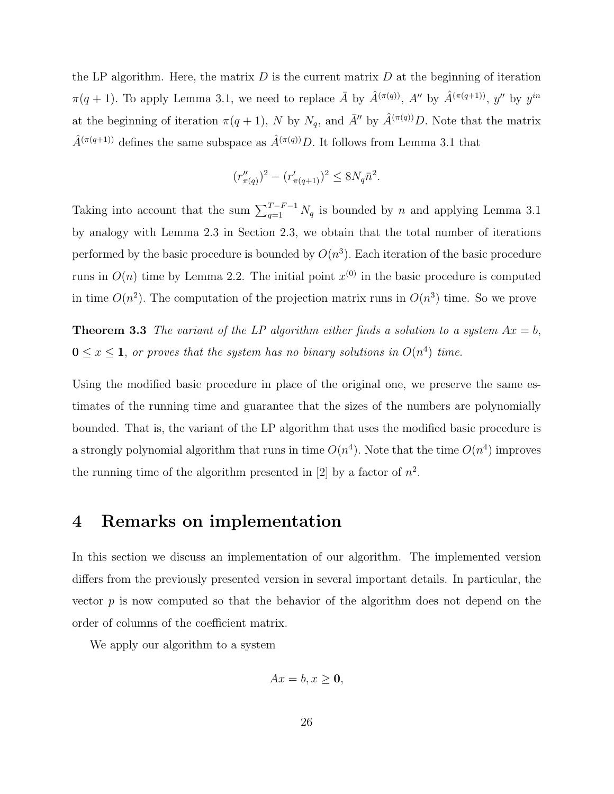the LP algorithm. Here, the matrix  $D$  is the current matrix  $D$  at the beginning of iteration  $\pi(q+1)$ . To apply Lemma 3.1, we need to replace  $\bar{A}$  by  $\hat{A}^{(\pi(q))}$ ,  $A''$  by  $\hat{A}^{(\pi(q+1))}$ ,  $y''$  by  $y^{in}$ at the beginning of iteration  $\pi(q + 1)$ , N by  $N_q$ , and  $\bar{A}^{\prime\prime}$  by  $\hat{A}^{(\pi(q))}D$ . Note that the matrix  $\hat{A}^{(\pi(q+1))}$  defines the same subspace as  $\hat{A}^{(\pi(q))}D.$  It follows from Lemma 3.1 that

$$
(r''_{\pi(q)})^2 - (r'_{\pi(q+1)})^2 \le 8N_q\bar{n}^2.
$$

Taking into account that the sum  $\sum_{q=1}^{T-F-1} N_q$  is bounded by n and applying Lemma 3.1 by analogy with Lemma 2.3 in Section 2.3, we obtain that the total number of iterations performed by the basic procedure is bounded by  $O(n^3)$ . Each iteration of the basic procedure runs in  $O(n)$  time by Lemma 2.2. The initial point  $x^{(0)}$  in the basic procedure is computed in time  $O(n^2)$ . The computation of the projection matrix runs in  $O(n^3)$  time. So we prove

**Theorem 3.3** The variant of the LP algorithm either finds a solution to a system  $Ax = b$ ,  $0 \leq x \leq 1$ , or proves that the system has no binary solutions in  $O(n^4)$  time.

Using the modified basic procedure in place of the original one, we preserve the same estimates of the running time and guarantee that the sizes of the numbers are polynomially bounded. That is, the variant of the LP algorithm that uses the modified basic procedure is a strongly polynomial algorithm that runs in time  $O(n^4)$ . Note that the time  $O(n^4)$  improves the running time of the algorithm presented in [2] by a factor of  $n^2$ .

# 4 Remarks on implementation

In this section we discuss an implementation of our algorithm. The implemented version differs from the previously presented version in several important details. In particular, the vector  $p$  is now computed so that the behavior of the algorithm does not depend on the order of columns of the coefficient matrix.

We apply our algorithm to a system

$$
Ax = b, x \ge 0,
$$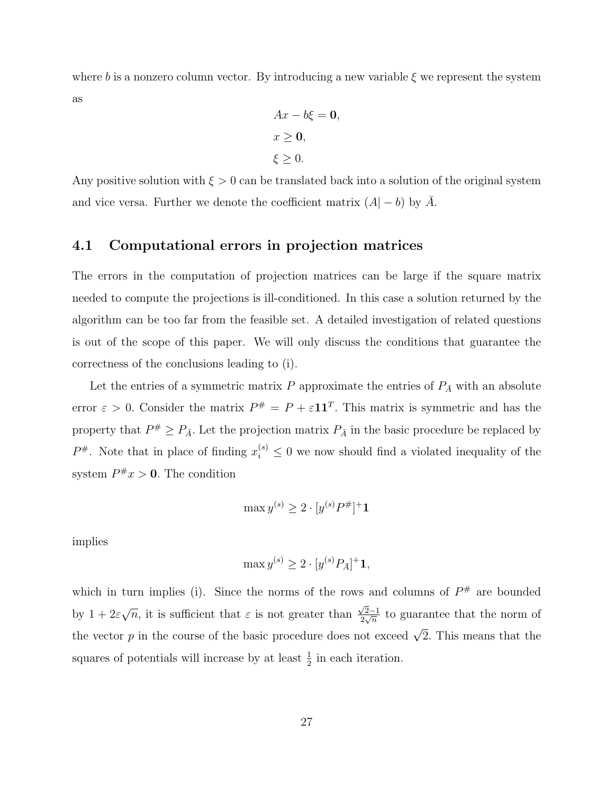where b is a nonzero column vector. By introducing a new variable  $\xi$  we represent the system as

$$
Ax - b\xi = 0,
$$
  

$$
x \ge 0,
$$
  

$$
\xi \ge 0.
$$

Any positive solution with  $\xi > 0$  can be translated back into a solution of the original system and vice versa. Further we denote the coefficient matrix  $(A - b)$  by  $\overline{A}$ .

## 4.1 Computational errors in projection matrices

The errors in the computation of projection matrices can be large if the square matrix needed to compute the projections is ill-conditioned. In this case a solution returned by the algorithm can be too far from the feasible set. A detailed investigation of related questions is out of the scope of this paper. We will only discuss the conditions that guarantee the correctness of the conclusions leading to (i).

Let the entries of a symmetric matrix P approximate the entries of  $P_{\bar{A}}$  with an absolute error  $\varepsilon > 0$ . Consider the matrix  $P^{\#} = P + \varepsilon \mathbf{1} \mathbf{1}^T$ . This matrix is symmetric and has the property that  $P^{\#} \geq P_{\bar{A}}$ . Let the projection matrix  $P_{\bar{A}}$  in the basic procedure be replaced by  $P^{\#}$ . Note that in place of finding  $x_i^{(s)} \leq 0$  we now should find a violated inequality of the system  $P^{\#}x > 0$ . The condition

$$
\max y^{(s)} \ge 2 \cdot [y^{(s)}P^\#]^{+} \mathbf{1}
$$

implies

$$
\max y^{(s)} \ge 2 \cdot [y^{(s)} P_{\bar{A}}]^{+} \mathbf{1},
$$

which in turn implies (i). Since the norms of the rows and columns of  $P^{\#}$  are bounded by  $1+2\varepsilon$ √  $\overline{n}$ , it is sufficient that  $\varepsilon$  is not greater than  $\sqrt{2}-1$  $\frac{\sqrt{2}-1}{2\sqrt{n}}$  to guarantee that the norm of the vector p in the course of the basic procedure does not exceed  $\sqrt{2}$ . This means that the squares of potentials will increase by at least  $\frac{1}{2}$  in each iteration.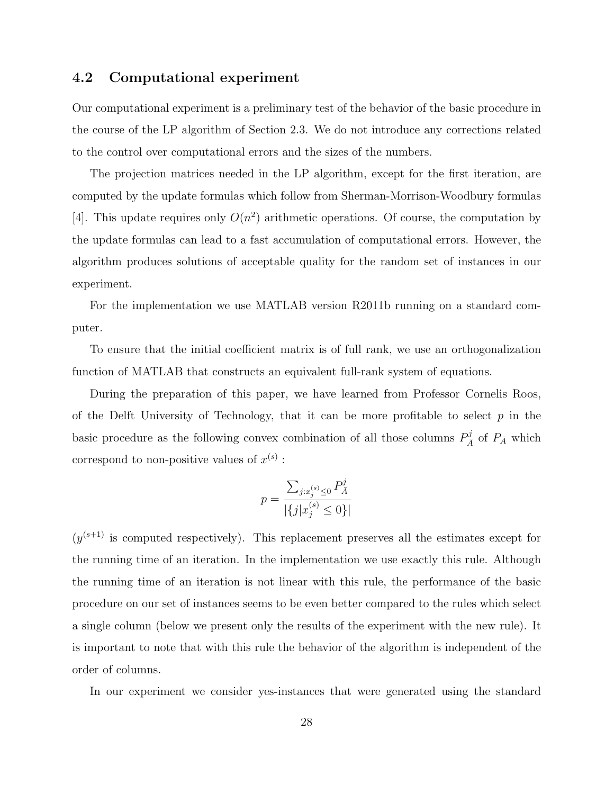# 4.2 Computational experiment

Our computational experiment is a preliminary test of the behavior of the basic procedure in the course of the LP algorithm of Section 2.3. We do not introduce any corrections related to the control over computational errors and the sizes of the numbers.

The projection matrices needed in the LP algorithm, except for the first iteration, are computed by the update formulas which follow from Sherman-Morrison-Woodbury formulas [4]. This update requires only  $O(n^2)$  arithmetic operations. Of course, the computation by the update formulas can lead to a fast accumulation of computational errors. However, the algorithm produces solutions of acceptable quality for the random set of instances in our experiment.

For the implementation we use MATLAB version R2011b running on a standard computer.

To ensure that the initial coefficient matrix is of full rank, we use an orthogonalization function of MATLAB that constructs an equivalent full-rank system of equations.

During the preparation of this paper, we have learned from Professor Cornelis Roos, of the Delft University of Technology, that it can be more profitable to select  $p$  in the basic procedure as the following convex combination of all those columns  $P_{\bar{A}}^{j}$  of  $P_{\bar{A}}$  which correspond to non-positive values of  $x^{(s)}$ :

$$
p = \frac{\sum_{j:x_j^{(s)} \le 0} P_{\bar{A}}^j}{|\{j|x_j^{(s)} \le 0\}|}
$$

 $(y^{(s+1)}$  is computed respectively). This replacement preserves all the estimates except for the running time of an iteration. In the implementation we use exactly this rule. Although the running time of an iteration is not linear with this rule, the performance of the basic procedure on our set of instances seems to be even better compared to the rules which select a single column (below we present only the results of the experiment with the new rule). It is important to note that with this rule the behavior of the algorithm is independent of the order of columns.

In our experiment we consider yes-instances that were generated using the standard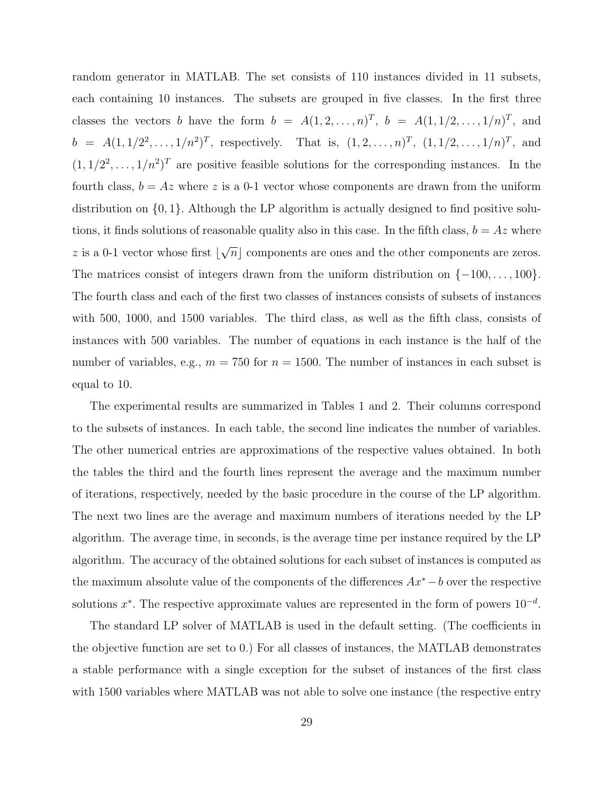random generator in MATLAB. The set consists of 110 instances divided in 11 subsets, each containing 10 instances. The subsets are grouped in five classes. In the first three classes the vectors b have the form  $b = A(1, 2, \ldots, n)^T$ ,  $b = A(1, 1/2, \ldots, 1/n)^T$ , and  $b = A(1, 1/2^2, \ldots, 1/n^2)^T$ , respectively. That is,  $(1, 2, \ldots, n)^T$ ,  $(1, 1/2, \ldots, 1/n)^T$ , and  $(1, 1/2^2, \ldots, 1/n^2)^T$  are positive feasible solutions for the corresponding instances. In the fourth class,  $b = Az$  where z is a 0-1 vector whose components are drawn from the uniform distribution on  $\{0, 1\}$ . Although the LP algorithm is actually designed to find positive solutions, it finds solutions of reasonable quality also in this case. In the fifth class,  $b = Az$  where  $z$  is a 0-1 vector whose first  $\vert$ √  $\overline{n}$  components are ones and the other components are zeros. The matrices consist of integers drawn from the uniform distribution on  $\{-100, \ldots, 100\}$ . The fourth class and each of the first two classes of instances consists of subsets of instances with 500, 1000, and 1500 variables. The third class, as well as the fifth class, consists of instances with 500 variables. The number of equations in each instance is the half of the number of variables, e.g.,  $m = 750$  for  $n = 1500$ . The number of instances in each subset is equal to 10.

The experimental results are summarized in Tables 1 and 2. Their columns correspond to the subsets of instances. In each table, the second line indicates the number of variables. The other numerical entries are approximations of the respective values obtained. In both the tables the third and the fourth lines represent the average and the maximum number of iterations, respectively, needed by the basic procedure in the course of the LP algorithm. The next two lines are the average and maximum numbers of iterations needed by the LP algorithm. The average time, in seconds, is the average time per instance required by the LP algorithm. The accuracy of the obtained solutions for each subset of instances is computed as the maximum absolute value of the components of the differences Ax<sup>∗</sup>−b over the respective solutions  $x^*$ . The respective approximate values are represented in the form of powers  $10^{-d}$ .

The standard LP solver of MATLAB is used in the default setting. (The coefficients in the objective function are set to 0.) For all classes of instances, the MATLAB demonstrates a stable performance with a single exception for the subset of instances of the first class with 1500 variables where MATLAB was not able to solve one instance (the respective entry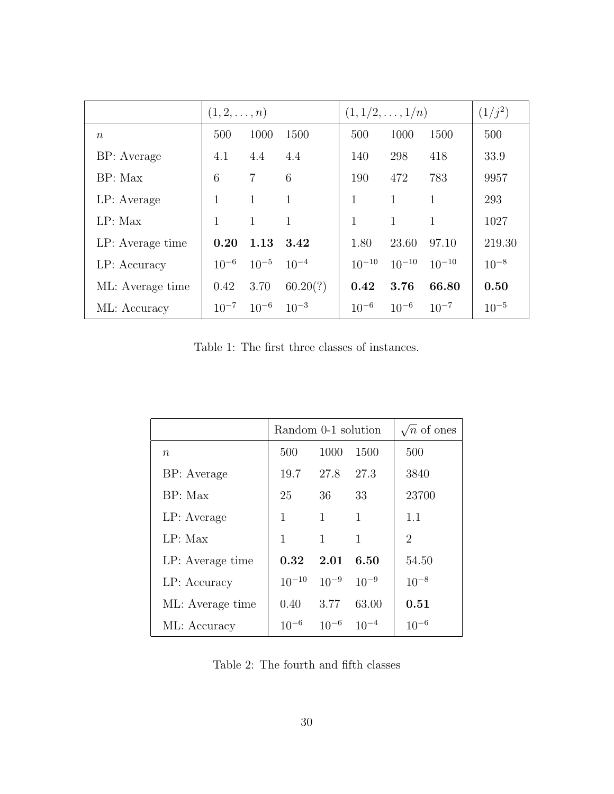|                  | $(1, 2, \ldots, n)$ |                |              | $(1, 1/2, \ldots, 1/n)$ |              |            | $(1/j^2)$ |
|------------------|---------------------|----------------|--------------|-------------------------|--------------|------------|-----------|
| $\eta$           | 500                 | 1000           | 1500         | 500                     | 1000         | 1500       | 500       |
| BP: Average      | 4.1                 | 4.4            | 4.4          | 140                     | 298          | 418        | 33.9      |
| BP: Max          | 6                   | $\overline{7}$ | 6            | 190                     | 472          | 783        | 9957      |
| LP: Average      | 1                   | 1              | $\mathbf{1}$ | 1                       | $\mathbf{1}$ | 1          | 293       |
| LP: Max          | 1                   | $\mathbf{1}$   | $\mathbf{1}$ | 1                       | $\mathbf{1}$ | 1          | 1027      |
| LP: Average time | 0.20                | 1.13           | 3.42         | 1.80                    | 23.60        | 97.10      | 219.30    |
| LP: Accuracy     | $10^{-6}$           | $10^{-5}$      | $10^{-4}$    | $10^{-10}$              | $10^{-10}$   | $10^{-10}$ | $10^{-8}$ |
| ML: Average time | 0.42                | 3.70           | 60.20(?)     | 0.42                    | 3.76         | 66.80      | 0.50      |
| ML: Accuracy     | $10^{-7}$           | $10^{-6}$      | $10^{-3}$    | $10^{-6}$               | $10^{-6}$    | $10^{-7}$  | $10^{-5}$ |

Table 1: The first three classes of instances.

|                  | Random 0-1 solution | $\sqrt{n}$ of ones |              |                |
|------------------|---------------------|--------------------|--------------|----------------|
| $\, n$           | 500                 | 1000               | 1500         | 500            |
| BP: Average      | 19.7                | 27.8               | 27.3         | 3840           |
| BP: Max          | 25                  | 36                 | 33           | 23700          |
| LP: Average      | 1                   | $\mathbf{1}$       | $\mathbf{1}$ | 1.1            |
| LP: Max          | 1                   | 1                  | 1            | $\overline{2}$ |
| LP: Average time | 0.32                | 2.01               | 6.50         | 54.50          |
| LP: Accuracy     | $10^{-10}$          | $10^{-9}$          | $10^{-9}$    | $10^{-8}$      |
| ML: Average time | 0.40                | 3.77               | 63.00        | 0.51           |
| ML: Accuracy     | $10^{-6}$           | $10^{-6}$          | $10^{-4}$    | $10^{-6}$      |
|                  |                     |                    |              |                |

Table 2: The fourth and fifth classes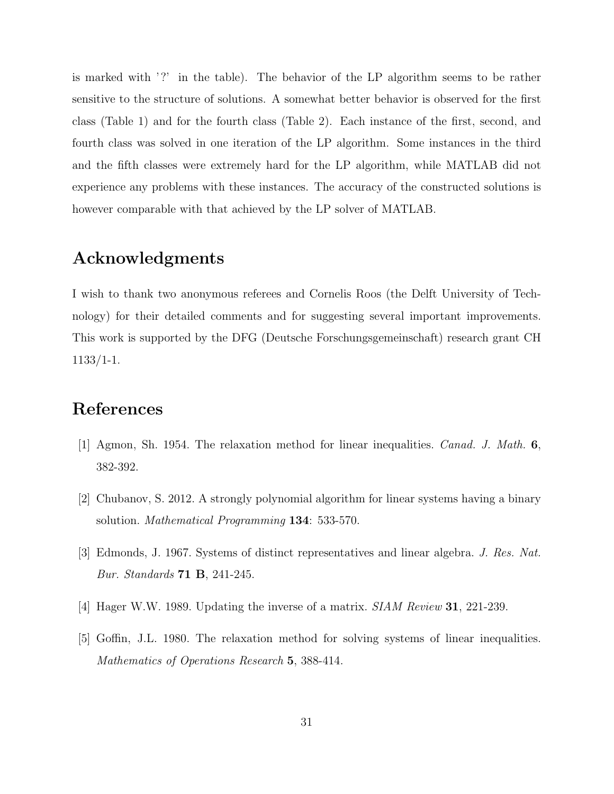is marked with '?' in the table). The behavior of the LP algorithm seems to be rather sensitive to the structure of solutions. A somewhat better behavior is observed for the first class (Table 1) and for the fourth class (Table 2). Each instance of the first, second, and fourth class was solved in one iteration of the LP algorithm. Some instances in the third and the fifth classes were extremely hard for the LP algorithm, while MATLAB did not experience any problems with these instances. The accuracy of the constructed solutions is however comparable with that achieved by the LP solver of MATLAB.

# Acknowledgments

I wish to thank two anonymous referees and Cornelis Roos (the Delft University of Technology) for their detailed comments and for suggesting several important improvements. This work is supported by the DFG (Deutsche Forschungsgemeinschaft) research grant CH 1133/1-1.

# References

- [1] Agmon, Sh. 1954. The relaxation method for linear inequalities. Canad. J. Math. 6, 382-392.
- [2] Chubanov, S. 2012. A strongly polynomial algorithm for linear systems having a binary solution. *Mathematical Programming* **134**: 533-570.
- [3] Edmonds, J. 1967. Systems of distinct representatives and linear algebra. J. Res. Nat. Bur. Standards 71 B, 241-245.
- [4] Hager W.W. 1989. Updating the inverse of a matrix. SIAM Review 31, 221-239.
- [5] Goffin, J.L. 1980. The relaxation method for solving systems of linear inequalities. Mathematics of Operations Research 5, 388-414.